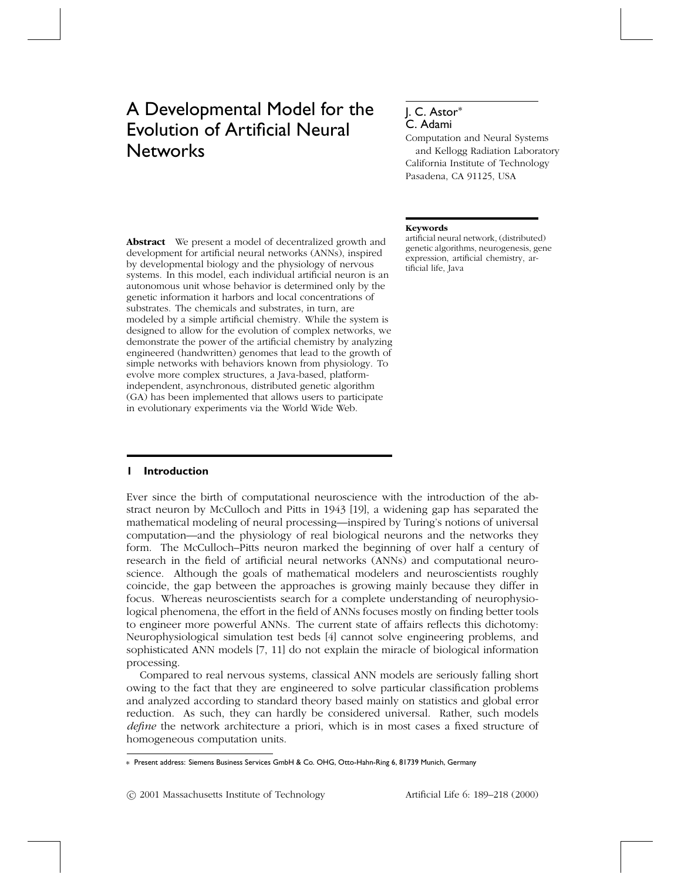# A Developmental Model for the Evolution of Artificial Neural **Networks**

**Abstract** We present a model of decentralized growth and development for artificial neural networks (ANNs), inspired by developmental biology and the physiology of nervous systems. In this model, each individual artificial neuron is an autonomous unit whose behavior is determined only by the genetic information it harbors and local concentrations of substrates. The chemicals and substrates, in turn, are modeled by a simple artificial chemistry. While the system is designed to allow for the evolution of complex networks, we demonstrate the power of the artificial chemistry by analyzing engineered (handwritten) genomes that lead to the growth of simple networks with behaviors known from physiology. To evolve more complex structures, a Java-based, platformindependent, asynchronous, distributed genetic algorithm (GA) has been implemented that allows users to participate in evolutionary experiments via the World Wide Web.

# J. C. Astor<sup>∗</sup> C. Adami

Computation and Neural Systems and Kellogg Radiation Laboratory California Institute of Technology Pasadena, CA 91125, USA

#### **Keywords**

artificial neural network, (distributed) genetic algorithms, neurogenesis, gene expression, artificial chemistry, artificial life, Java

# **1 Introduction**

Ever since the birth of computational neuroscience with the introduction of the abstract neuron by McCulloch and Pitts in 1943 [19], a widening gap has separated the mathematical modeling of neural processing—inspired by Turing's notions of universal computation—and the physiology of real biological neurons and the networks they form. The McCulloch–Pitts neuron marked the beginning of over half a century of research in the field of artificial neural networks (ANNs) and computational neuroscience. Although the goals of mathematical modelers and neuroscientists roughly coincide, the gap between the approaches is growing mainly because they differ in focus. Whereas neuroscientists search for a complete understanding of neurophysiological phenomena, the effort in the field of ANNs focuses mostly on finding better tools to engineer more powerful ANNs. The current state of affairs reflects this dichotomy: Neurophysiological simulation test beds [4] cannot solve engineering problems, and sophisticated ANN models [7, 11] do not explain the miracle of biological information processing.

Compared to real nervous systems, classical ANN models are seriously falling short owing to the fact that they are engineered to solve particular classification problems and analyzed according to standard theory based mainly on statistics and global error reduction. As such, they can hardly be considered universal. Rather, such models *define* the network architecture a priori, which is in most cases a fixed structure of homogeneous computation units.

<sup>∗</sup> Present address: Siemens Business Services GmbH & Co. OHG, Otto-Hahn-Ring 6, 81739 Munich, Germany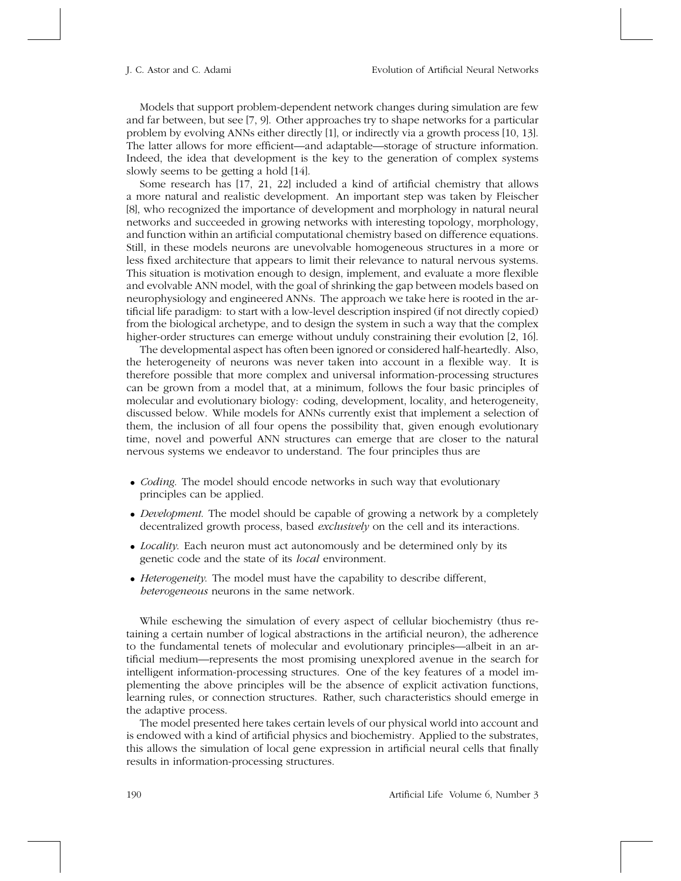Models that support problem-dependent network changes during simulation are few and far between, but see [7, 9]. Other approaches try to shape networks for a particular problem by evolving ANNs either directly [1], or indirectly via a growth process [10, 13]. The latter allows for more efficient—and adaptable—storage of structure information. Indeed, the idea that development is the key to the generation of complex systems slowly seems to be getting a hold [14].

Some research has [17, 21, 22] included a kind of artificial chemistry that allows a more natural and realistic development. An important step was taken by Fleischer [8], who recognized the importance of development and morphology in natural neural networks and succeeded in growing networks with interesting topology, morphology, and function within an artificial computational chemistry based on difference equations. Still, in these models neurons are unevolvable homogeneous structures in a more or less fixed architecture that appears to limit their relevance to natural nervous systems. This situation is motivation enough to design, implement, and evaluate a more flexible and evolvable ANN model, with the goal of shrinking the gap between models based on neurophysiology and engineered ANNs. The approach we take here is rooted in the artificial life paradigm: to start with a low-level description inspired (if not directly copied) from the biological archetype, and to design the system in such a way that the complex higher-order structures can emerge without unduly constraining their evolution [2, 16].

The developmental aspect has often been ignored or considered half-heartedly. Also, the heterogeneity of neurons was never taken into account in a flexible way. It is therefore possible that more complex and universal information-processing structures can be grown from a model that, at a minimum, follows the four basic principles of molecular and evolutionary biology: coding, development, locality, and heterogeneity, discussed below. While models for ANNs currently exist that implement a selection of them, the inclusion of all four opens the possibility that, given enough evolutionary time, novel and powerful ANN structures can emerge that are closer to the natural nervous systems we endeavor to understand. The four principles thus are

- *Coding*. The model should encode networks in such way that evolutionary principles can be applied.
- *Development*. The model should be capable of growing a network by a completely decentralized growth process, based *exclusively* on the cell and its interactions.
- *Locality*. Each neuron must act autonomously and be determined only by its genetic code and the state of its *local* environment.
- *Heterogeneity*. The model must have the capability to describe different, *heterogeneous* neurons in the same network.

While eschewing the simulation of every aspect of cellular biochemistry (thus retaining a certain number of logical abstractions in the artificial neuron), the adherence to the fundamental tenets of molecular and evolutionary principles—albeit in an artificial medium—represents the most promising unexplored avenue in the search for intelligent information-processing structures. One of the key features of a model implementing the above principles will be the absence of explicit activation functions, learning rules, or connection structures. Rather, such characteristics should emerge in the adaptive process.

The model presented here takes certain levels of our physical world into account and is endowed with a kind of artificial physics and biochemistry. Applied to the substrates, this allows the simulation of local gene expression in artificial neural cells that finally results in information-processing structures.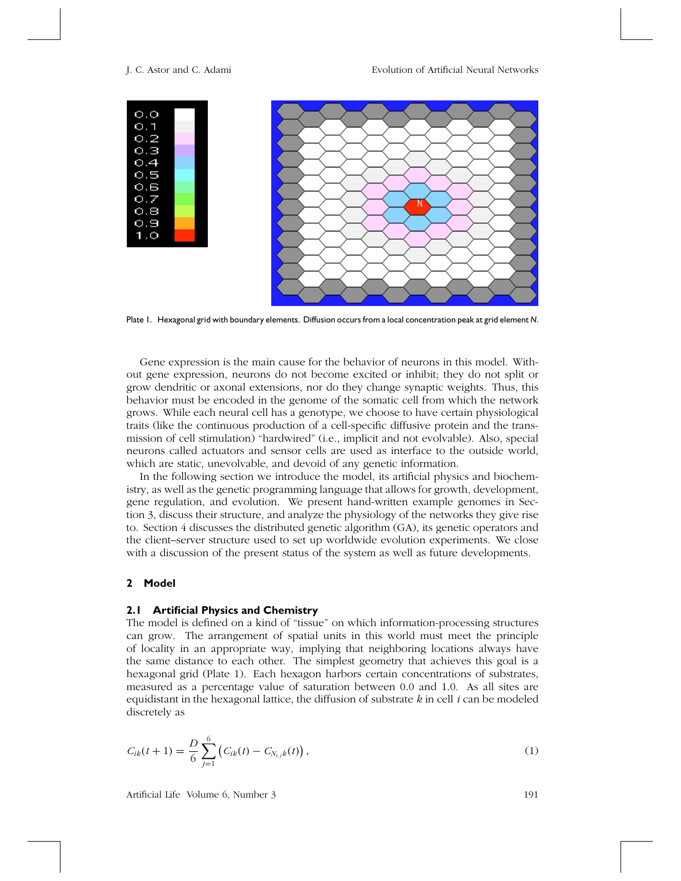

Plate 1. Hexagonal grid with boundary elements. Diffusion occurs from a local concentration peak at grid element *N*.

Gene expression is the main cause for the behavior of neurons in this model. Without gene expression, neurons do not become excited or inhibit; they do not split or grow dendritic or axonal extensions, nor do they change synaptic weights. Thus, this behavior must be encoded in the genome of the somatic cell from which the network grows. While each neural cell has a genotype, we choose to have certain physiological traits (like the continuous production of a cell-specific diffusive protein and the transmission of cell stimulation) "hardwired" (i.e., implicit and not evolvable). Also, special neurons called actuators and sensor cells are used as interface to the outside world, which are static, unevolvable, and devoid of any genetic information.

In the following section we introduce the model, its artificial physics and biochemistry, as well as the genetic programming language that allows for growth, development, gene regulation, and evolution. We present hand-written example genomes in Section 3, discuss their structure, and analyze the physiology of the networks they give rise to. Section 4 discusses the distributed genetic algorithm (GA), its genetic operators and the client–server structure used to set up worldwide evolution experiments. We close with a discussion of the present status of the system as well as future developments.

# **2 Model**

# **2.1 Artificial Physics and Chemistry**

The model is defined on a kind of "tissue" on which information-processing structures can grow. The arrangement of spatial units in this world must meet the principle of locality in an appropriate way, implying that neighboring locations always have the same distance to each other. The simplest geometry that achieves this goal is a hexagonal grid (Plate 1). Each hexagon harbors certain concentrations of substrates, measured as a percentage value of saturation between 0.0 and 1.0. As all sites are equidistant in the hexagonal lattice, the diffusion of substrate *k* in cell *i* can be modeled discretely as

$$
C_{ik}(t+1) = \frac{D}{6} \sum_{j=1}^{6} \left( C_{ik}(t) - C_{N_{i,j}k}(t) \right), \tag{1}
$$

Artificial Life Volume 6, Number 3 191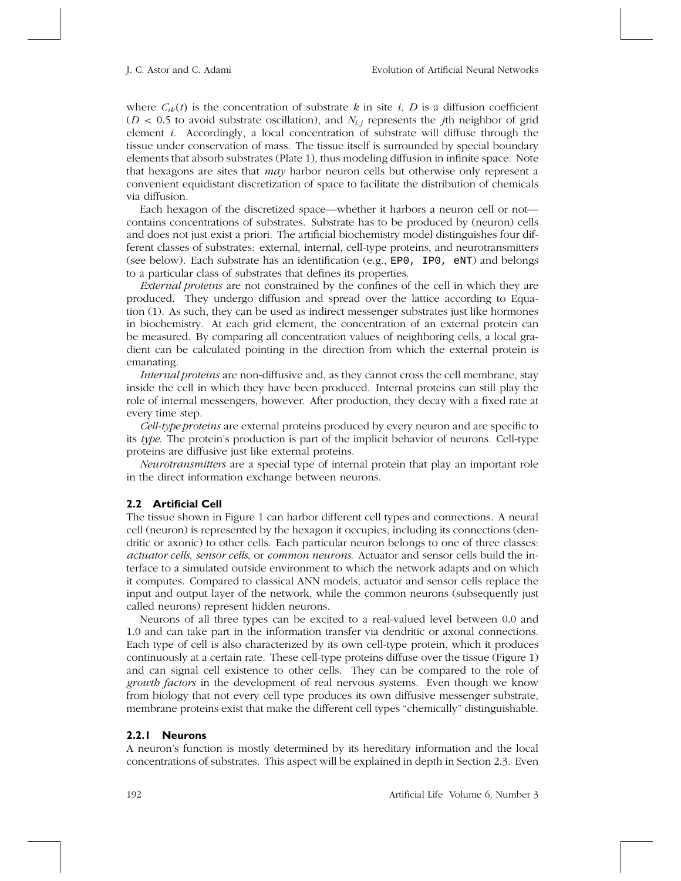where  $C_{ik}(t)$  is the concentration of substrate *k* in site *i*, *D* is a diffusion coefficient  $(D < 0.5$  to avoid substrate oscillation), and  $N_{i,j}$  represents the *j*th neighbor of grid element *i*. Accordingly, a local concentration of substrate will diffuse through the tissue under conservation of mass. The tissue itself is surrounded by special boundary elements that absorb substrates (Plate 1), thus modeling diffusion in infinite space. Note that hexagons are sites that *may* harbor neuron cells but otherwise only represent a convenient equidistant discretization of space to facilitate the distribution of chemicals via diffusion.

Each hexagon of the discretized space—whether it harbors a neuron cell or not contains concentrations of substrates. Substrate has to be produced by (neuron) cells and does not just exist a priori. The artificial biochemistry model distinguishes four different classes of substrates: external, internal, cell-type proteins, and neurotransmitters (see below). Each substrate has an identification (e.g., EP0, IP0, eNT) and belongs to a particular class of substrates that defines its properties.

*External proteins* are not constrained by the confines of the cell in which they are produced. They undergo diffusion and spread over the lattice according to Equation (1). As such, they can be used as indirect messenger substrates just like hormones in biochemistry. At each grid element, the concentration of an external protein can be measured. By comparing all concentration values of neighboring cells, a local gradient can be calculated pointing in the direction from which the external protein is emanating.

*Internal proteins* are non-diffusive and, as they cannot cross the cell membrane, stay inside the cell in which they have been produced. Internal proteins can still play the role of internal messengers, however. After production, they decay with a fixed rate at every time step.

*Cell-type proteins* are external proteins produced by every neuron and are specific to its *type*. The protein's production is part of the implicit behavior of neurons. Cell-type proteins are diffusive just like external proteins.

*Neurotransmitters* are a special type of internal protein that play an important role in the direct information exchange between neurons.

### **2.2 Artificial Cell**

The tissue shown in Figure 1 can harbor different cell types and connections. A neural cell (neuron) is represented by the hexagon it occupies, including its connections (dendritic or axonic) to other cells. Each particular neuron belongs to one of three classes: *actuator cells*, *sensor cells*, or *common neurons*. Actuator and sensor cells build the interface to a simulated outside environment to which the network adapts and on which it computes. Compared to classical ANN models, actuator and sensor cells replace the input and output layer of the network, while the common neurons (subsequently just called neurons) represent hidden neurons.

Neurons of all three types can be excited to a real-valued level between 0.0 and 1.0 and can take part in the information transfer via dendritic or axonal connections. Each type of cell is also characterized by its own cell-type protein, which it produces continuously at a certain rate. These cell-type proteins diffuse over the tissue (Figure 1) and can signal cell existence to other cells. They can be compared to the role of *growth factors* in the development of real nervous systems. Even though we know from biology that not every cell type produces its own diffusive messenger substrate, membrane proteins exist that make the different cell types "chemically" distinguishable.

### **2.2.1 Neurons**

A neuron's function is mostly determined by its hereditary information and the local concentrations of substrates. This aspect will be explained in depth in Section 2.3. Even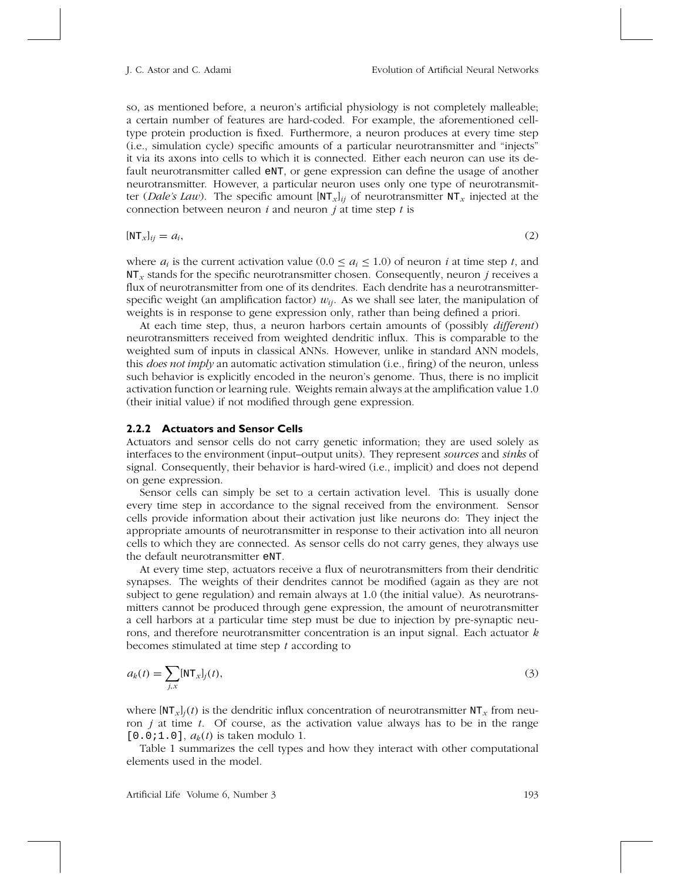so, as mentioned before, a neuron's artificial physiology is not completely malleable; a certain number of features are hard-coded. For example, the aforementioned celltype protein production is fixed. Furthermore, a neuron produces at every time step (i.e., simulation cycle) specific amounts of a particular neurotransmitter and "injects" it via its axons into cells to which it is connected. Either each neuron can use its default neurotransmitter called eNT, or gene expression can define the usage of another neurotransmitter. However, a particular neuron uses only one type of neurotransmitter (*Dale's Law*). The specific amount  $[\text{NT}_x]_{ij}$  of neurotransmitter  $\text{NT}_x$  injected at the connection between neuron *i* and neuron *j* at time step *t* is

 $[\text{NT}_x]_{ij} = a_i,$  (2)

where  $a_i$  is the current activation value (0.0  $\le a_i \le 1.0$ ) of neuron *i* at time step *t*, and NT*<sup>x</sup>* stands for the specific neurotransmitter chosen. Consequently, neuron *j* receives a flux of neurotransmitter from one of its dendrites. Each dendrite has a neurotransmitterspecific weight (an amplification factor)  $w_{ij}$ . As we shall see later, the manipulation of weights is in response to gene expression only, rather than being defined a priori.

At each time step, thus, a neuron harbors certain amounts of (possibly *different*) neurotransmitters received from weighted dendritic influx. This is comparable to the weighted sum of inputs in classical ANNs. However, unlike in standard ANN models, this *does not imply* an automatic activation stimulation (i.e., firing) of the neuron, unless such behavior is explicitly encoded in the neuron's genome. Thus, there is no implicit activation function or learning rule. Weights remain always at the amplification value 1.0 (their initial value) if not modified through gene expression.

### **2.2.2 Actuators and Sensor Cells**

Actuators and sensor cells do not carry genetic information; they are used solely as interfaces to the environment (input–output units). They represent *sources* and *sinks* of signal. Consequently, their behavior is hard-wired (i.e., implicit) and does not depend on gene expression.

Sensor cells can simply be set to a certain activation level. This is usually done every time step in accordance to the signal received from the environment. Sensor cells provide information about their activation just like neurons do: They inject the appropriate amounts of neurotransmitter in response to their activation into all neuron cells to which they are connected. As sensor cells do not carry genes, they always use the default neurotransmitter eNT.

At every time step, actuators receive a flux of neurotransmitters from their dendritic synapses. The weights of their dendrites cannot be modified (again as they are not subject to gene regulation) and remain always at 1.0 (the initial value). As neurotransmitters cannot be produced through gene expression, the amount of neurotransmitter a cell harbors at a particular time step must be due to injection by pre-synaptic neurons, and therefore neurotransmitter concentration is an input signal. Each actuator *k* becomes stimulated at time step *t* according to

$$
a_k(t) = \sum_{j,x} [\text{NT}_x]_j(t),\tag{3}
$$

where  $[\text{NT}_x]_i(t)$  is the dendritic influx concentration of neurotransmitter  $\text{NT}_x$  from neuron *j* at time *t*. Of course, as the activation value always has to be in the range  $[0.0;1.0]$ ,  $a_k(t)$  is taken modulo 1.

Table 1 summarizes the cell types and how they interact with other computational elements used in the model.

Artificial Life Volume 6, Number 3 193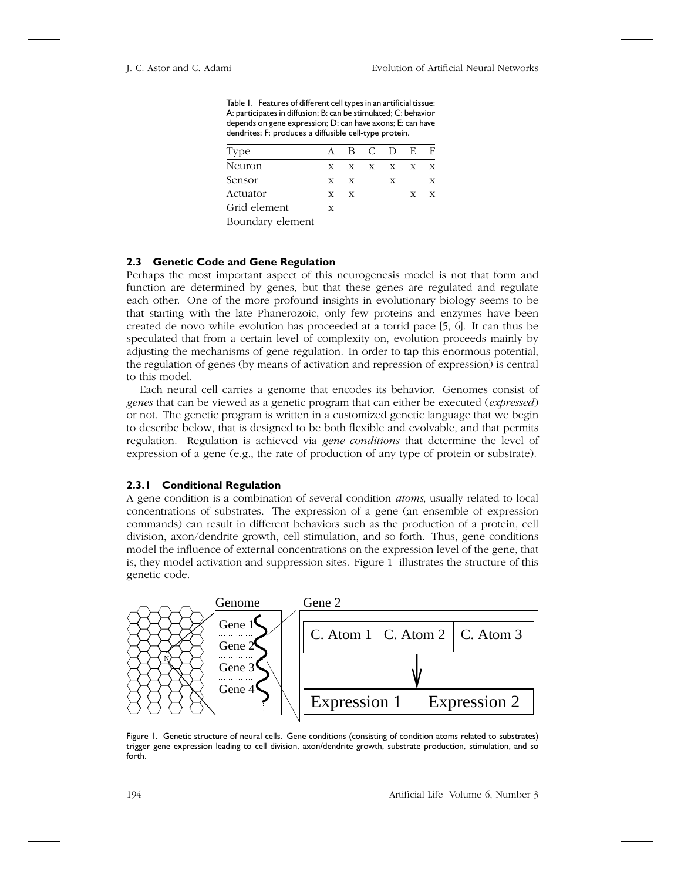Table 1. Features of different cell types in an artificial tissue: A: participates in diffusion; B: can be stimulated; C: behavior depends on gene expression; D: can have axons; E: can have dendrites; F: produces a diffusible cell-type protein.

| Type             |   |          | A B C D E                           |    | - F          |
|------------------|---|----------|-------------------------------------|----|--------------|
| Neuron           |   |          | $X \quad X \quad X \quad X \quad X$ |    |              |
| Sensor           |   | $X \t X$ | X                                   |    | X            |
| Actuator         |   | $X \t X$ |                                     | X. | $\mathbf{x}$ |
| Grid element     | X |          |                                     |    |              |
| Boundary element |   |          |                                     |    |              |

# **2.3 Genetic Code and Gene Regulation**

Perhaps the most important aspect of this neurogenesis model is not that form and function are determined by genes, but that these genes are regulated and regulate each other. One of the more profound insights in evolutionary biology seems to be that starting with the late Phanerozoic, only few proteins and enzymes have been created de novo while evolution has proceeded at a torrid pace [5, 6]. It can thus be speculated that from a certain level of complexity on, evolution proceeds mainly by adjusting the mechanisms of gene regulation. In order to tap this enormous potential, the regulation of genes (by means of activation and repression of expression) is central to this model.

Each neural cell carries a genome that encodes its behavior. Genomes consist of *genes* that can be viewed as a genetic program that can either be executed (*expressed*) or not. The genetic program is written in a customized genetic language that we begin to describe below, that is designed to be both flexible and evolvable, and that permits regulation. Regulation is achieved via *gene conditions* that determine the level of expression of a gene (e.g., the rate of production of any type of protein or substrate).

### **2.3.1 Conditional Regulation**

A gene condition is a combination of several condition *atoms*, usually related to local concentrations of substrates. The expression of a gene (an ensemble of expression commands) can result in different behaviors such as the production of a protein, cell division, axon/dendrite growth, cell stimulation, and so forth. Thus, gene conditions model the influence of external concentrations on the expression level of the gene, that is, they model activation and suppression sites. Figure 1 illustrates the structure of this genetic code.



Figure 1. Genetic structure of neural cells. Gene conditions (consisting of condition atoms related to substrates) trigger gene expression leading to cell division, axon/dendrite growth, substrate production, stimulation, and so forth.

194 Artificial Life Volume 6, Number 3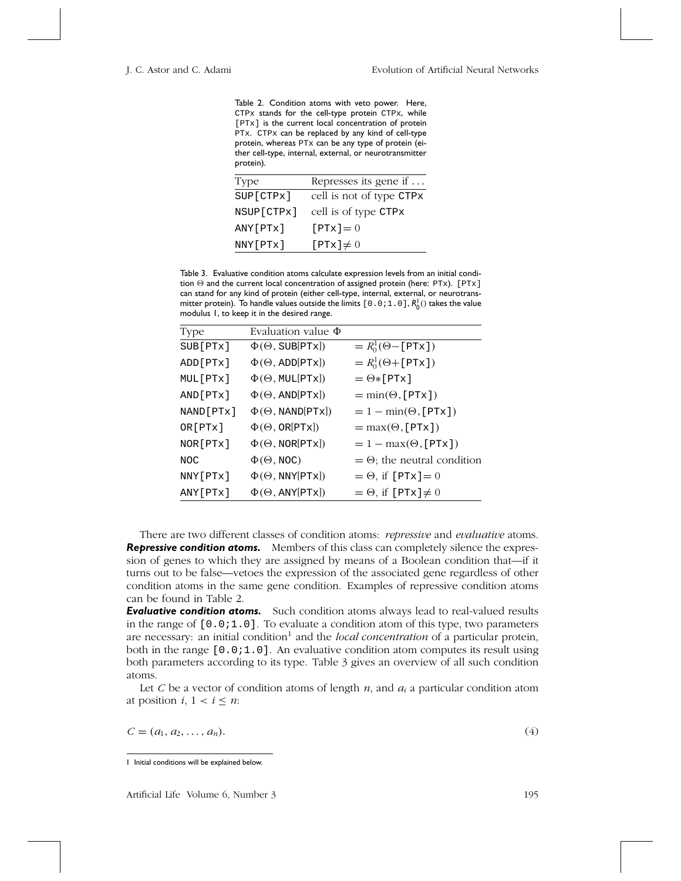Table 2. Condition atoms with veto power. Here, CTPx stands for the cell-type protein CTPx, while [PTx] is the current local concentration of protein PTx. CTPx can be replaced by any kind of cell-type protein, whereas PTx can be any type of protein (either cell-type, internal, external, or neurotransmitter protein).

| Type        | Represses its gene if    |
|-------------|--------------------------|
| SUP [CTPx]  | cell is not of type CTPx |
| NSUP [CTPx] | cell is of type CTPx     |
| ANY [PTx]   | $[PTx]=0$                |
| NNY [PTx]   | [ $PTx$ ] $\neq 0$       |

Table 3. Evaluative condition atoms calculate expression levels from an initial condition  $\Theta$  and the current local concentration of assigned protein (here: PTx). [PTx] can stand for any kind of protein (either cell-type, internal, external, or neurotransmitter protein). To handle values outside the limits [0.0;1.0],  $R_0^{\rm I}$  () takes the value modulus 1, to keep it in the desired range.

| Type         | Evaluation value $\Phi$                |                                    |
|--------------|----------------------------------------|------------------------------------|
| SUB[PTx]     | $\Phi(\Theta, \text{SUB[PTx]})$        | $=R_0^1(\Theta-[PTx])$             |
| ADD [PTx]    | $\Phi(\Theta, \text{ADD[PTx]})$        | $=R_0^1(\Theta + [PTx])$           |
| MUL[PTx]     | $\Phi(\Theta, \texttt{MUL[PTx]})$      | $=\Theta*[PTx]$                    |
| AND [PTx]    | $\Phi(\Theta, \text{AND[PTx]})$        | $= min(\Theta, [PTx])$             |
| NAND [ PTx ] | $\Phi(\Theta, \text{NAND[PTx]})$       | $= 1 - min(\Theta, [PTx])$         |
| OR[PTx]      | $\Phi(\Theta, \text{OR[PTx]})$         | $= max(\Theta, [PTx])$             |
| NOR [ PTx ]  | $\Phi(\Theta, \text{NOR}[\text{PTx}])$ | $= 1 - max(\Theta, [PTx])$         |
| <b>NOC</b>   | $\Phi(\Theta, \text{NOC})$             | $= \Theta$ ; the neutral condition |
| NNY [PTx]    | $\Phi(\Theta, NNY[PTx])$               | $= \Theta$ , if [PTx] = 0          |
| ANY [PTx]    | $\Phi(\Theta, \text{ANY[PTx])}$        | $= \Theta$ , if [PTx] $\neq 0$     |

There are two different classes of condition atoms: *repressive* and *evaluative* atoms. *Repressive condition atoms.* Members of this class can completely silence the expression of genes to which they are assigned by means of a Boolean condition that—if it turns out to be false—vetoes the expression of the associated gene regardless of other condition atoms in the same gene condition. Examples of repressive condition atoms can be found in Table 2.

*Evaluative condition atoms.* Such condition atoms always lead to real-valued results in the range of [0.0;1.0]. To evaluate a condition atom of this type, two parameters are necessary: an initial condition<sup>1</sup> and the *local concentration* of a particular protein, both in the range  $[0.0;1.0]$ . An evaluative condition atom computes its result using both parameters according to its type. Table 3 gives an overview of all such condition atoms.

Let *C* be a vector of condition atoms of length  $n$ , and  $a_i$  a particular condition atom at position  $i, 1 < i \leq n$ :

 $C = (a_1, a_2, \ldots, a_n).$  (4)

<sup>1</sup> Initial conditions will be explained below.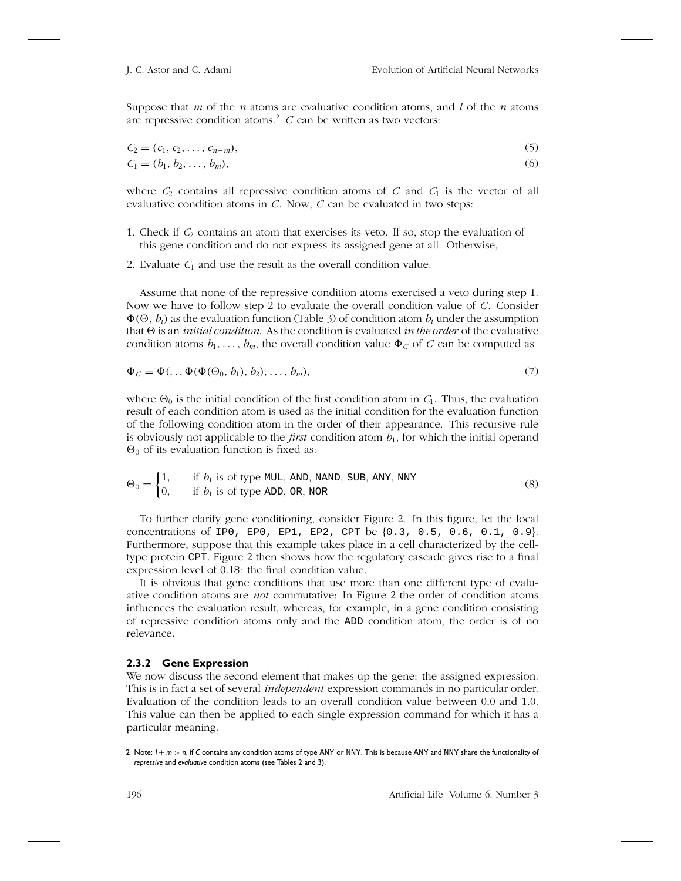Suppose that *m* of the *n* atoms are evaluative condition atoms, and *l* of the *n* atoms are repressive condition atoms.<sup>2</sup>  $C$  can be written as two vectors:

 $C_2 = (c_1, c_2, \ldots, c_{n-m}),$  (5)

$$
C_1 = (b_1, b_2, \dots, b_m), \tag{6}
$$

where  $C_2$  contains all repressive condition atoms of  $C$  and  $C_1$  is the vector of all evaluative condition atoms in *C*. Now, *C* can be evaluated in two steps:

- 1. Check if  $C_2$  contains an atom that exercises its veto. If so, stop the evaluation of this gene condition and do not express its assigned gene at all. Otherwise,
- 2. Evaluate  $C_1$  and use the result as the overall condition value.

Assume that none of the repressive condition atoms exercised a veto during step 1. Now we have to follow step 2 to evaluate the overall condition value of *C*. Consider  $\Phi(\Theta, b_i)$  as the evaluation function (Table 3) of condition atom  $b_i$  under the assumption that  $\Theta$  is an *initial condition*. As the condition is evaluated *in the order* of the evaluative condition atoms  $b_1, \ldots, b_m$ , the overall condition value  $\Phi_C$  of *C* can be computed as

$$
\Phi_C = \Phi(\dots \Phi(\Phi(\Theta_0, b_1), b_2), \dots, b_m),\tag{7}
$$

where  $\Theta_0$  is the initial condition of the first condition atom in  $C_1$ . Thus, the evaluation result of each condition atom is used as the initial condition for the evaluation function of the following condition atom in the order of their appearance. This recursive rule is obviously not applicable to the *first* condition atom  $b<sub>1</sub>$ , for which the initial operand  $\Theta_0$  of its evaluation function is fixed as:

$$
\Theta_0 = \begin{cases} 1, & \text{if } b_1 \text{ is of type MUL, AND, NAND, SUB, ANY, NNY} \\ 0, & \text{if } b_1 \text{ is of type ADD, OR, NOR} \end{cases} \tag{8}
$$

To further clarify gene conditioning, consider Figure 2. In this figure, let the local concentrations of IP0, EP0, EP1, EP2, CPT be {0.3, 0.5, 0.6, 0.1, 0.9}. Furthermore, suppose that this example takes place in a cell characterized by the celltype protein CPT. Figure 2 then shows how the regulatory cascade gives rise to a final expression level of 0.18: the final condition value.

It is obvious that gene conditions that use more than one different type of evaluative condition atoms are *not* commutative: In Figure 2 the order of condition atoms influences the evaluation result, whereas, for example, in a gene condition consisting of repressive condition atoms only and the ADD condition atom, the order is of no relevance.

#### **2.3.2 Gene Expression**

We now discuss the second element that makes up the gene: the assigned expression. This is in fact a set of several *independent* expression commands in no particular order. Evaluation of the condition leads to an overall condition value between 0.0 and 1.0. This value can then be applied to each single expression command for which it has a particular meaning.

<sup>2</sup> Note: *l* + *m* > *n*, if *C* contains any condition atoms of type ANY or NNY. This is because ANY and NNY share the functionality of *repressive* and *evaluative* condition atoms (see Tables 2 and 3).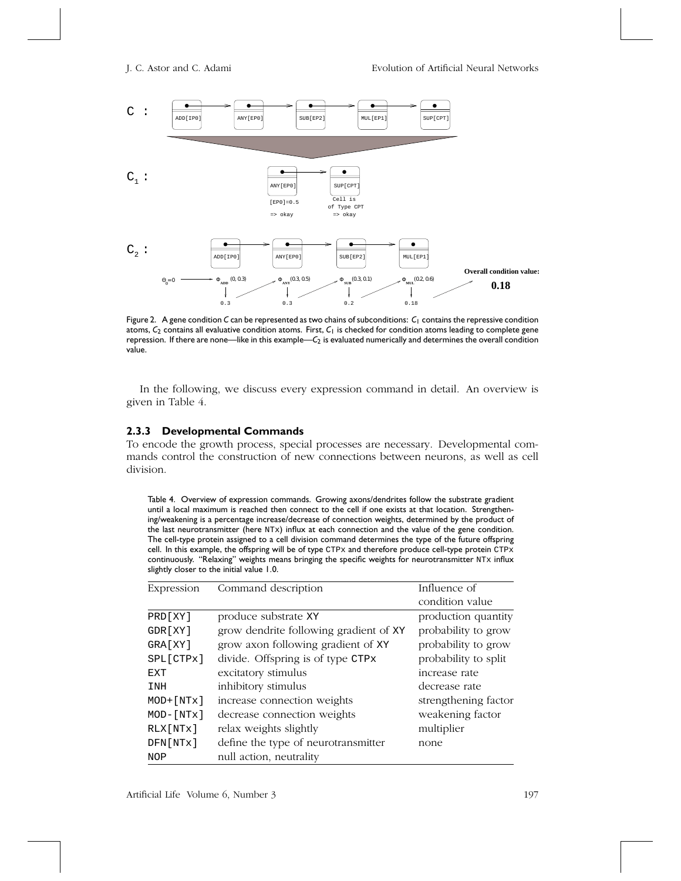

Figure 2. A gene condition *C* can be represented as two chains of subconditions:  $C_1$  contains the repressive condition atoms, *C*<sup>2</sup> contains all evaluative condition atoms. First, *C*<sup>1</sup> is checked for condition atoms leading to complete gene repression. If there are none—like in this example—*C*<sup>2</sup> is evaluated numerically and determines the overall condition value.

In the following, we discuss every expression command in detail. An overview is given in Table 4.

# **2.3.3 Developmental Commands**

To encode the growth process, special processes are necessary. Developmental commands control the construction of new connections between neurons, as well as cell division.

Table 4. Overview of expression commands. Growing axons/dendrites follow the substrate gradient until a local maximum is reached then connect to the cell if one exists at that location. Strengthening/weakening is a percentage increase/decrease of connection weights, determined by the product of the last neurotransmitter (here NTx) influx at each connection and the value of the gene condition. The cell-type protein assigned to a cell division command determines the type of the future offspring cell. In this example, the offspring will be of type CTPx and therefore produce cell-type protein CTPx continuously. "Relaxing" weights means bringing the specific weights for neurotransmitter  $NTx$  influx slightly closer to the initial value 1.0.

| Expression  | Command description                    | Influence of         |  |
|-------------|----------------------------------------|----------------------|--|
|             |                                        | condition value      |  |
| PRD [XY]    | produce substrate XY                   | production quantity  |  |
| GDR[XY]     | grow dendrite following gradient of XY | probability to grow  |  |
| GRA[XY]     | grow axon following gradient of XY     | probability to grow  |  |
| SPL[CTPx]   | divide. Offspring is of type CTPx      | probability to split |  |
| EXT         | excitatory stimulus                    | increase rate        |  |
| <b>INH</b>  | inhibitory stimulus                    | decrease rate        |  |
| $MOD+[NTx]$ | increase connection weights            | strengthening factor |  |
| $MOD-[NTx]$ | decrease connection weights            | weakening factor     |  |
| RLX[NTx]    | relax weights slightly                 | multiplier           |  |
| DFN[NTx]    | define the type of neurotransmitter    | none                 |  |
| NOP         | null action, neutrality                |                      |  |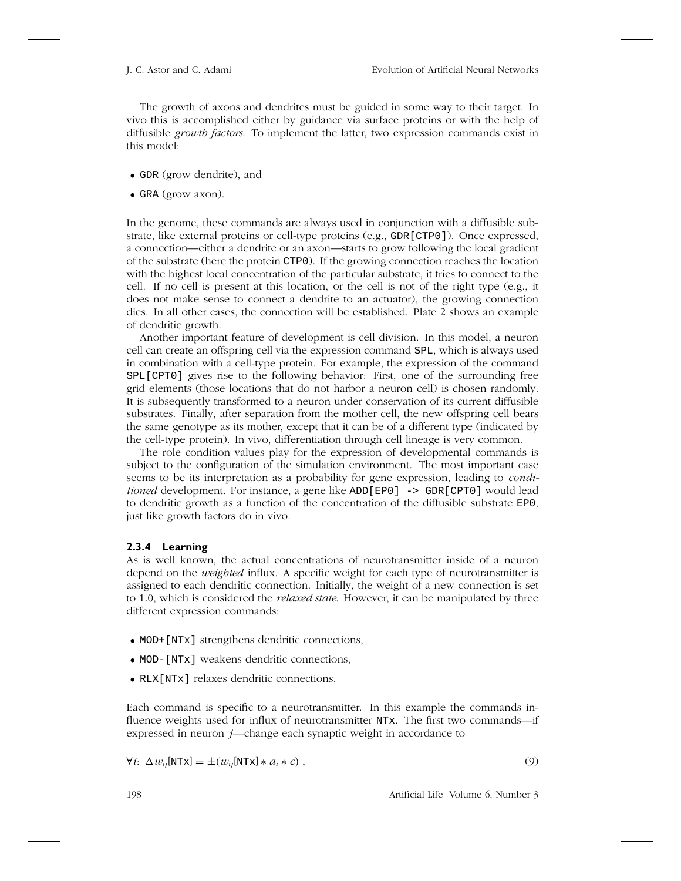The growth of axons and dendrites must be guided in some way to their target. In vivo this is accomplished either by guidance via surface proteins or with the help of diffusible *growth factors*. To implement the latter, two expression commands exist in this model:

- GDR (grow dendrite), and
- GRA (grow axon).

In the genome, these commands are always used in conjunction with a diffusible substrate, like external proteins or cell-type proteins (e.g., GDR[CTP0]). Once expressed, a connection—either a dendrite or an axon—starts to grow following the local gradient of the substrate (here the protein CTP0). If the growing connection reaches the location with the highest local concentration of the particular substrate, it tries to connect to the cell. If no cell is present at this location, or the cell is not of the right type (e.g., it does not make sense to connect a dendrite to an actuator), the growing connection dies. In all other cases, the connection will be established. Plate 2 shows an example of dendritic growth.

Another important feature of development is cell division. In this model, a neuron cell can create an offspring cell via the expression command SPL, which is always used in combination with a cell-type protein. For example, the expression of the command SPL[CPT0] gives rise to the following behavior: First, one of the surrounding free grid elements (those locations that do not harbor a neuron cell) is chosen randomly. It is subsequently transformed to a neuron under conservation of its current diffusible substrates. Finally, after separation from the mother cell, the new offspring cell bears the same genotype as its mother, except that it can be of a different type (indicated by the cell-type protein). In vivo, differentiation through cell lineage is very common.

The role condition values play for the expression of developmental commands is subject to the configuration of the simulation environment. The most important case seems to be its interpretation as a probability for gene expression, leading to *conditioned* development. For instance, a gene like ADD[EP0] -> GDR[CPT0] would lead to dendritic growth as a function of the concentration of the diffusible substrate EP0, just like growth factors do in vivo.

#### **2.3.4 Learning**

As is well known, the actual concentrations of neurotransmitter inside of a neuron depend on the *weighted* influx. A specific weight for each type of neurotransmitter is assigned to each dendritic connection. Initially, the weight of a new connection is set to 1.0, which is considered the *relaxed state*. However, it can be manipulated by three different expression commands:

- MOD+[NTx] strengthens dendritic connections,
- MOD-[NTx] weakens dendritic connections,
- RLX[NTx] relaxes dendritic connections.

Each command is specific to a neurotransmitter. In this example the commands influence weights used for influx of neurotransmitter NTx. The first two commands—if expressed in neuron *j*—change each synaptic weight in accordance to

$$
\forall i: \ \Delta w_{ij}[\text{NTx}] = \pm (w_{ij}[\text{NTx}]\ast a_i \ast c), \tag{9}
$$

198 Artificial Life Volume 6, Number 3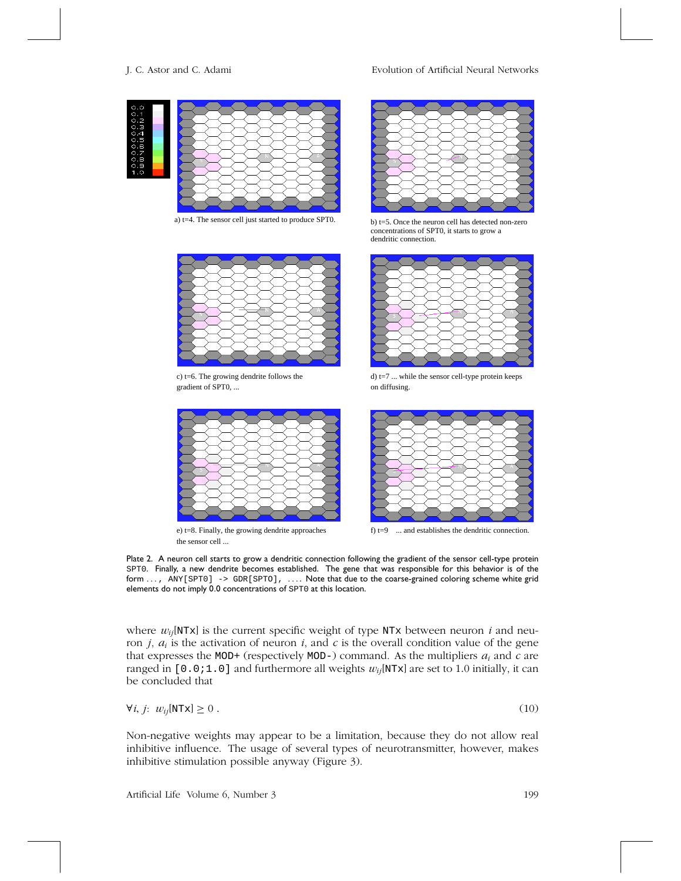#### J. C. Astor and C. Adami Evolution of Artificial Neural Networks



a) t=4. The sensor cell just started to produce SPT0.  $b)$  t=5. Once the neuron cell has detected non-zero



gradient of SPT0, ...



the sensor cell ... e) t=8. Finally, the growing dendrite approaches



dendritic connection. concentrations of SPT0, it starts to grow a



c) t=6. The growing dendrite follows the d) t=7 ... while the sensor cell-type protein keeps on diffusing.



f) t=9 ... and establishes the dendritic connection.

Plate 2. A neuron cell starts to grow a dendritic connection following the gradient of the sensor cell-type protein SPT0. Finally, a new dendrite becomes established. The gene that was responsible for this behavior is of the form ..., ANY[SPT0] -> GDR[SPT0], .... Note that due to the coarse-grained coloring scheme white grid elements do not imply 0.0 concentrations of SPT0 at this location.

where  $w_{ij}$ [NTx] is the current specific weight of type NTx between neuron *i* and neuron  $j$ ,  $a_i$  is the activation of neuron  $i$ , and  $c$  is the overall condition value of the gene that expresses the MOD+ (respectively MOD-) command. As the multipliers  $a_i$  and  $c$  are ranged in [0.0;1.0] and furthermore all weights  $w_{ij}$ [NTx] are set to 1.0 initially, it can be concluded that

$$
\forall i, j: w_{ij}[\text{NTx}] \ge 0. \tag{10}
$$

Non-negative weights may appear to be a limitation, because they do not allow real inhibitive influence. The usage of several types of neurotransmitter, however, makes inhibitive stimulation possible anyway (Figure 3).

Artificial Life Volume 6, Number 3 199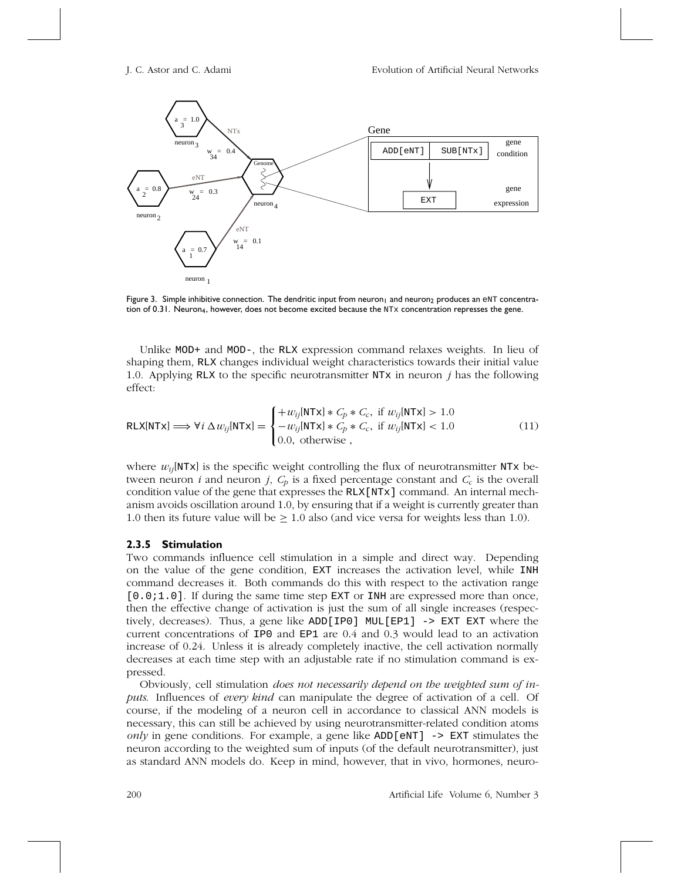

Figure 3. Simple inhibitive connection. The dendritic input from neuron<sub>1</sub> and neuron<sub>2</sub> produces an eNT concentration of 0.31. Neuron4, however, does not become excited because the NTx concentration represses the gene.

Unlike MOD+ and MOD-, the RLX expression command relaxes weights. In lieu of shaping them, RLX changes individual weight characteristics towards their initial value 1.0. Applying RLX to the specific neurotransmitter NTx in neuron *j* has the following effect:

$$
RLX[NTx] \Longrightarrow \forall i \Delta w_{ij}[NTx] = \begin{cases} +w_{ij}[NTx] * C_p * C_c, & \text{if } w_{ij}[NTx] > 1.0\\ -w_{ij}[NTx] * C_p * C_c, & \text{if } w_{ij}[NTx] < 1.0\\ 0.0, & \text{otherwise} \end{cases}
$$
(11)

where  $w_{ij}$ [NTx] is the specific weight controlling the flux of neurotransmitter NTx between neuron *i* and neuron *j*,  $C_p$  is a fixed percentage constant and  $C_c$  is the overall condition value of the gene that expresses the RLX[NTx] command. An internal mechanism avoids oscillation around 1.0, by ensuring that if a weight is currently greater than 1.0 then its future value will be  $\geq 1.0$  also (and vice versa for weights less than 1.0).

#### **2.3.5 Stimulation**

Two commands influence cell stimulation in a simple and direct way. Depending on the value of the gene condition, EXT increases the activation level, while INH command decreases it. Both commands do this with respect to the activation range  $[0.0;1.0]$ . If during the same time step EXT or INH are expressed more than once, then the effective change of activation is just the sum of all single increases (respectively, decreases). Thus, a gene like ADD[IP0] MUL[EP1] -> EXT EXT where the current concentrations of IP0 and EP1 are 0.4 and 0.3 would lead to an activation increase of 0.24. Unless it is already completely inactive, the cell activation normally decreases at each time step with an adjustable rate if no stimulation command is expressed.

Obviously, cell stimulation *does not necessarily depend on the weighted sum of inputs*. Influences of *every kind* can manipulate the degree of activation of a cell. Of course, if the modeling of a neuron cell in accordance to classical ANN models is necessary, this can still be achieved by using neurotransmitter-related condition atoms *only* in gene conditions. For example, a gene like ADD[eNT] -> EXT stimulates the neuron according to the weighted sum of inputs (of the default neurotransmitter), just as standard ANN models do. Keep in mind, however, that in vivo, hormones, neuro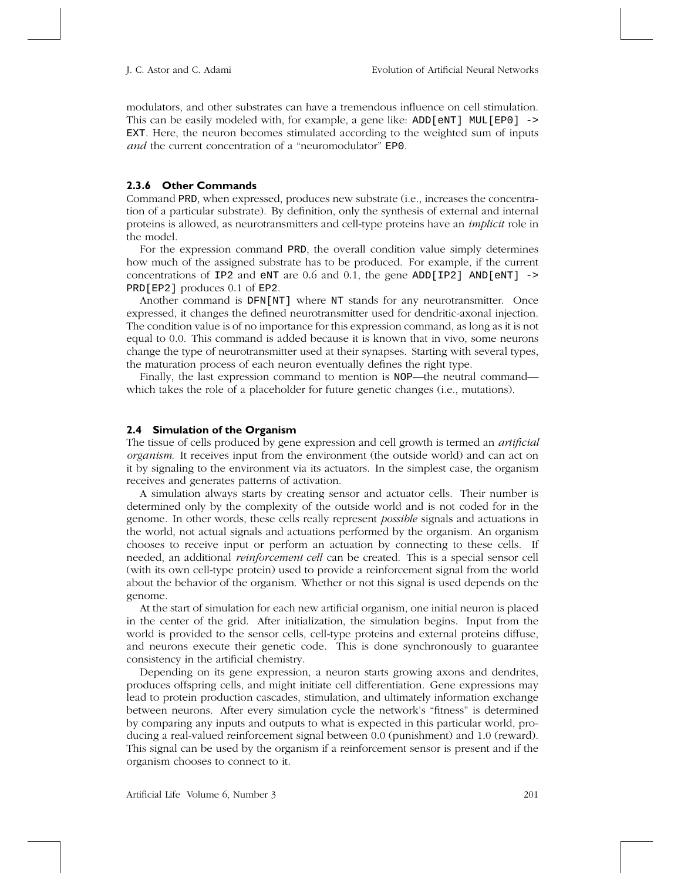modulators, and other substrates can have a tremendous influence on cell stimulation. This can be easily modeled with, for example, a gene like:  $ADD[ENT] MUL[EP0]$  -> EXT. Here, the neuron becomes stimulated according to the weighted sum of inputs *and* the current concentration of a "neuromodulator" EP0.

# **2.3.6 Other Commands**

Command PRD, when expressed, produces new substrate (i.e., increases the concentration of a particular substrate). By definition, only the synthesis of external and internal proteins is allowed, as neurotransmitters and cell-type proteins have an *implicit* role in the model.

For the expression command PRD, the overall condition value simply determines how much of the assigned substrate has to be produced. For example, if the current concentrations of IP2 and eNT are 0.6 and 0.1, the gene ADD[IP2] AND[eNT]  $\rightarrow$ PRD[EP2] produces 0.1 of EP2.

Another command is DFN[NT] where NT stands for any neurotransmitter. Once expressed, it changes the defined neurotransmitter used for dendritic-axonal injection. The condition value is of no importance for this expression command, as long as it is not equal to 0.0. This command is added because it is known that in vivo, some neurons change the type of neurotransmitter used at their synapses. Starting with several types, the maturation process of each neuron eventually defines the right type.

Finally, the last expression command to mention is NOP—the neutral command which takes the role of a placeholder for future genetic changes (i.e., mutations).

#### **2.4 Simulation of the Organism**

The tissue of cells produced by gene expression and cell growth is termed an *artificial organism*. It receives input from the environment (the outside world) and can act on it by signaling to the environment via its actuators. In the simplest case, the organism receives and generates patterns of activation.

A simulation always starts by creating sensor and actuator cells. Their number is determined only by the complexity of the outside world and is not coded for in the genome. In other words, these cells really represent *possible* signals and actuations in the world, not actual signals and actuations performed by the organism. An organism chooses to receive input or perform an actuation by connecting to these cells. If needed, an additional *reinforcement cell* can be created. This is a special sensor cell (with its own cell-type protein) used to provide a reinforcement signal from the world about the behavior of the organism. Whether or not this signal is used depends on the genome.

At the start of simulation for each new artificial organism, one initial neuron is placed in the center of the grid. After initialization, the simulation begins. Input from the world is provided to the sensor cells, cell-type proteins and external proteins diffuse, and neurons execute their genetic code. This is done synchronously to guarantee consistency in the artificial chemistry.

Depending on its gene expression, a neuron starts growing axons and dendrites, produces offspring cells, and might initiate cell differentiation. Gene expressions may lead to protein production cascades, stimulation, and ultimately information exchange between neurons. After every simulation cycle the network's "fitness" is determined by comparing any inputs and outputs to what is expected in this particular world, producing a real-valued reinforcement signal between 0.0 (punishment) and 1.0 (reward). This signal can be used by the organism if a reinforcement sensor is present and if the organism chooses to connect to it.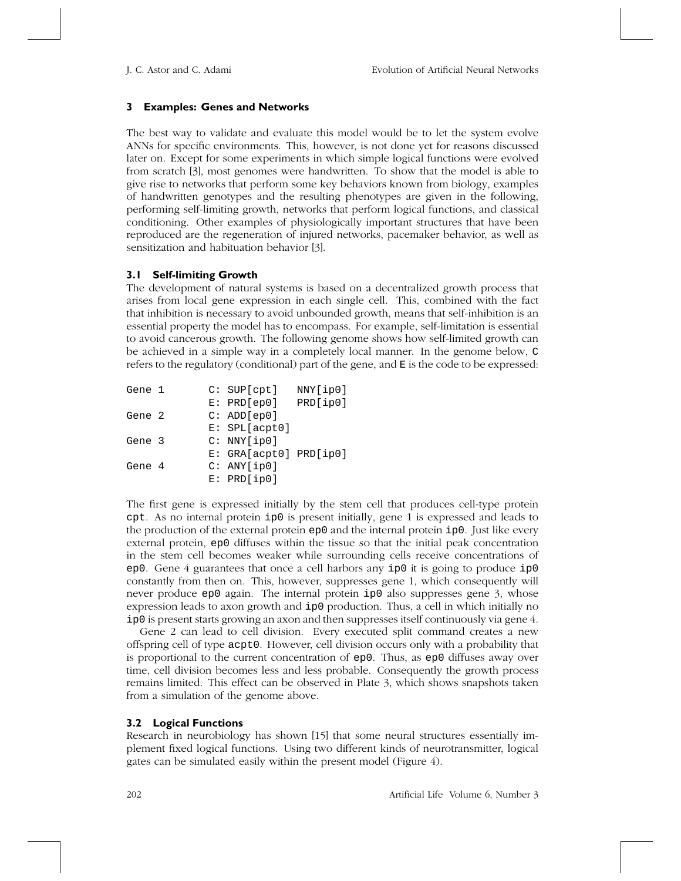### **3 Examples: Genes and Networks**

The best way to validate and evaluate this model would be to let the system evolve ANNs for specific environments. This, however, is not done yet for reasons discussed later on. Except for some experiments in which simple logical functions were evolved from scratch [3], most genomes were handwritten. To show that the model is able to give rise to networks that perform some key behaviors known from biology, examples of handwritten genotypes and the resulting phenotypes are given in the following, performing self-limiting growth, networks that perform logical functions, and classical conditioning. Other examples of physiologically important structures that have been reproduced are the regeneration of injured networks, pacemaker behavior, as well as sensitization and habituation behavior [3].

### **3.1 Self-limiting Growth**

The development of natural systems is based on a decentralized growth process that arises from local gene expression in each single cell. This, combined with the fact that inhibition is necessary to avoid unbounded growth, means that self-inhibition is an essential property the model has to encompass. For example, self-limitation is essential to avoid cancerous growth. The following genome shows how self-limited growth can be achieved in a simple way in a completely local manner. In the genome below, C refers to the regulatory (conditional) part of the gene, and  $E$  is the code to be expressed:

| Gene 1 |  | NNY[ip0]                                                                                                                                     |
|--------|--|----------------------------------------------------------------------------------------------------------------------------------------------|
|        |  | PRD[ip0]                                                                                                                                     |
| Gene 2 |  |                                                                                                                                              |
|        |  |                                                                                                                                              |
| Gene 3 |  |                                                                                                                                              |
|        |  |                                                                                                                                              |
| Gene 4 |  |                                                                                                                                              |
|        |  |                                                                                                                                              |
|        |  | $C:$ SUP $[$ cpt $]$<br>E: PRD[ep0]<br>C: ADD[ep0]<br>$E:$ SPL[acpt0]<br>C: NNY[ip0]<br>E: GRA[acpt0] PRD[ip0]<br>C: ANY[ip0]<br>E: PRD[ip0] |

The first gene is expressed initially by the stem cell that produces cell-type protein cpt. As no internal protein ip0 is present initially, gene 1 is expressed and leads to the production of the external protein ep0 and the internal protein ip0. Just like every external protein, ep0 diffuses within the tissue so that the initial peak concentration in the stem cell becomes weaker while surrounding cells receive concentrations of ep0. Gene 4 guarantees that once a cell harbors any ip0 it is going to produce ip0 constantly from then on. This, however, suppresses gene 1, which consequently will never produce ep0 again. The internal protein ip0 also suppresses gene 3, whose expression leads to axon growth and ip0 production. Thus, a cell in which initially no ip0 is present starts growing an axon and then suppresses itself continuously via gene 4.

Gene 2 can lead to cell division. Every executed split command creates a new offspring cell of type acpt0. However, cell division occurs only with a probability that is proportional to the current concentration of ep0. Thus, as ep0 diffuses away over time, cell division becomes less and less probable. Consequently the growth process remains limited. This effect can be observed in Plate 3, which shows snapshots taken from a simulation of the genome above.

### **3.2 Logical Functions**

Research in neurobiology has shown [15] that some neural structures essentially implement fixed logical functions. Using two different kinds of neurotransmitter, logical gates can be simulated easily within the present model (Figure 4).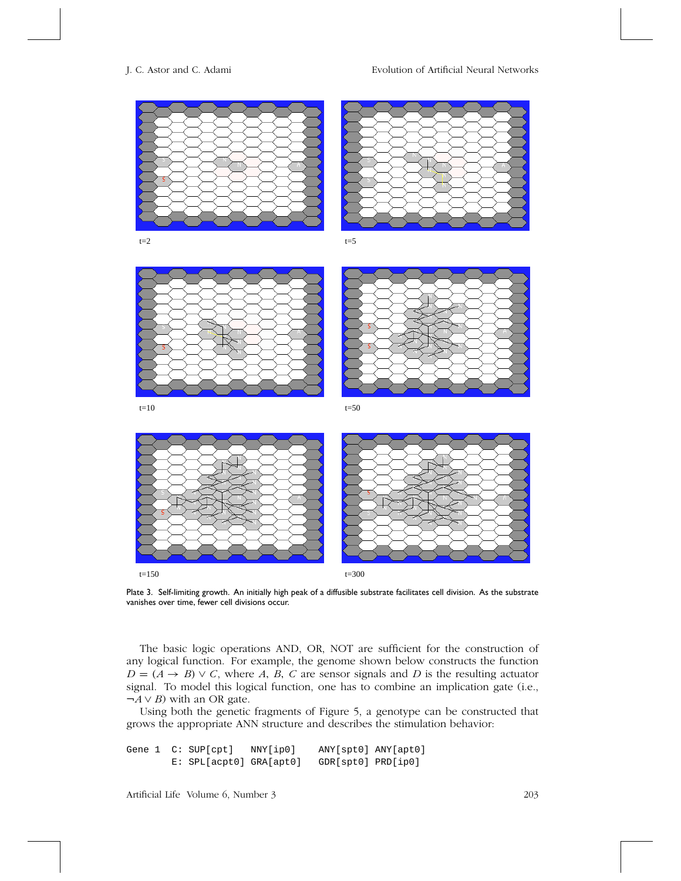#### J. C. Astor and C. Adami Evolution of Artificial Neural Networks



Plate 3. Self-limiting growth. An initially high peak of a diffusible substrate facilitates cell division. As the substrate vanishes over time, fewer cell divisions occur.

The basic logic operations AND, OR, NOT are sufficient for the construction of any logical function. For example, the genome shown below constructs the function  $D = (A \rightarrow B) \vee C$ , where *A*, *B*, *C* are sensor signals and *D* is the resulting actuator signal. To model this logical function, one has to combine an implication gate (i.e.,  $\neg A \lor B$ ) with an OR gate.

Using both the genetic fragments of Figure 5, a genotype can be constructed that grows the appropriate ANN structure and describes the stimulation behavior:

Gene 1 C: SUP[cpt] NNY[ip0] ANY[spt0] ANY[apt0] E: SPL[acpt0] GRA[apt0] GDR[spt0] PRD[ip0]

Artificial Life Volume 6, Number 3 203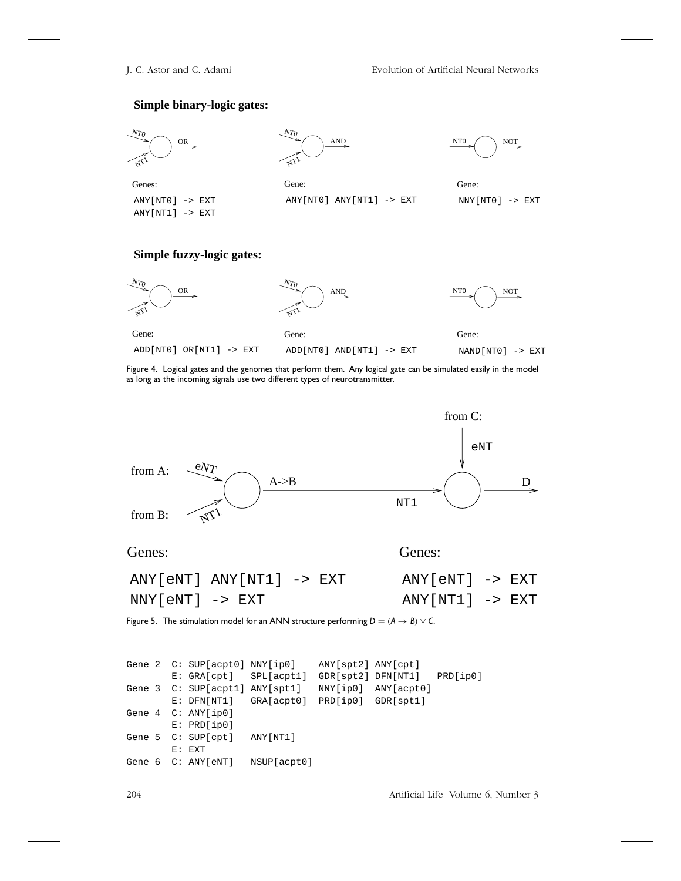# **Simple binary-logic gates:**



# **Simple fuzzy-logic gates:**



Figure 4. Logical gates and the genomes that perform them. Any logical gate can be simulated easily in the model as long as the incoming signals use two different types of neurotransmitter.



Gene 2 C: SUP[acpt0] NNY[ip0] ANY[spt2] ANY[cpt] E: GRA[cpt] SPL[acpt1] GDR[spt2] DFN[NT1] PRD[ip0] Gene 3 C: SUP[acpt1] ANY[spt1] NNY[ip0] ANY[acpt0] E: DFN[NT1] GRA[acpt0] PRD[ip0] GDR[spt1] Gene 4 C: ANY[ip0] E: PRD[ip0] Gene 5 C: SUP[cpt] ANY[NT1] E: EXT Gene 6 C: ANY[eNT] NSUP[acpt0]

204 Artificial Life Volume 6, Number 3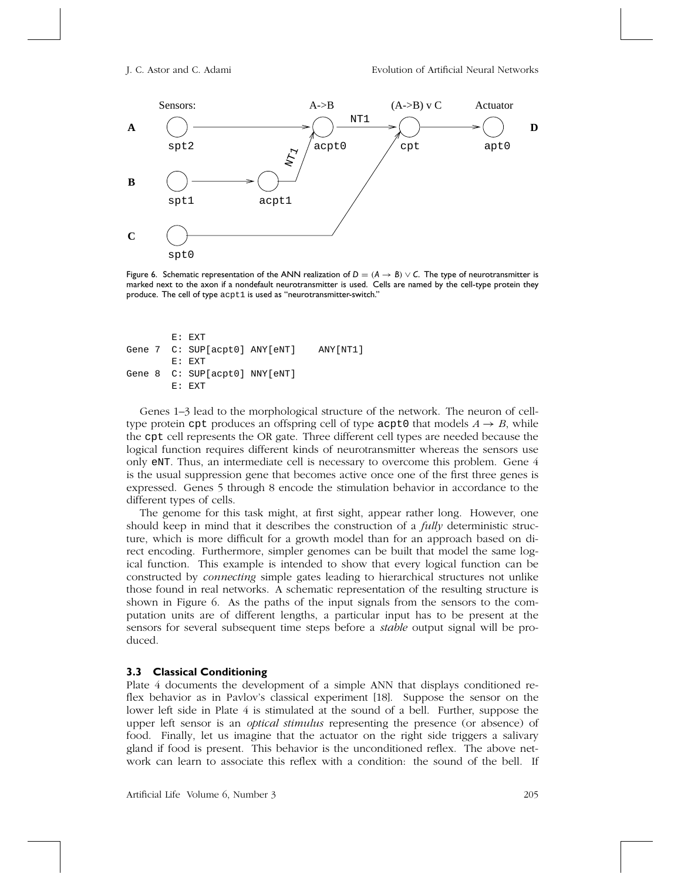

Figure 6. Schematic representation of the ANN realization of  $D = (A \rightarrow B) \vee C$ . The type of neurotransmitter is marked next to the axon if a nondefault neurotransmitter is used. Cells are named by the cell-type protein they produce. The cell of type acpt1 is used as "neurotransmitter-switch."

```
E: EXT
Gene 7 C: SUP[acpt0] ANY[eNT] ANY[NT1]
       E: EXT
Gene 8 C: SUP[acpt0] NNY[eNT]
       E: EXT
```
Genes 1–3 lead to the morphological structure of the network. The neuron of celltype protein cpt produces an offspring cell of type acpt0 that models  $A \rightarrow B$ , while the cpt cell represents the OR gate. Three different cell types are needed because the logical function requires different kinds of neurotransmitter whereas the sensors use only eNT. Thus, an intermediate cell is necessary to overcome this problem. Gene 4 is the usual suppression gene that becomes active once one of the first three genes is expressed. Genes 5 through 8 encode the stimulation behavior in accordance to the different types of cells.

The genome for this task might, at first sight, appear rather long. However, one should keep in mind that it describes the construction of a *fully* deterministic structure, which is more difficult for a growth model than for an approach based on direct encoding. Furthermore, simpler genomes can be built that model the same logical function. This example is intended to show that every logical function can be constructed by *connecting* simple gates leading to hierarchical structures not unlike those found in real networks. A schematic representation of the resulting structure is shown in Figure 6. As the paths of the input signals from the sensors to the computation units are of different lengths, a particular input has to be present at the sensors for several subsequent time steps before a *stable* output signal will be produced.

# **3.3 Classical Conditioning**

Plate 4 documents the development of a simple ANN that displays conditioned reflex behavior as in Pavlov's classical experiment [18]. Suppose the sensor on the lower left side in Plate 4 is stimulated at the sound of a bell. Further, suppose the upper left sensor is an *optical stimulus* representing the presence (or absence) of food. Finally, let us imagine that the actuator on the right side triggers a salivary gland if food is present. This behavior is the unconditioned reflex. The above network can learn to associate this reflex with a condition: the sound of the bell. If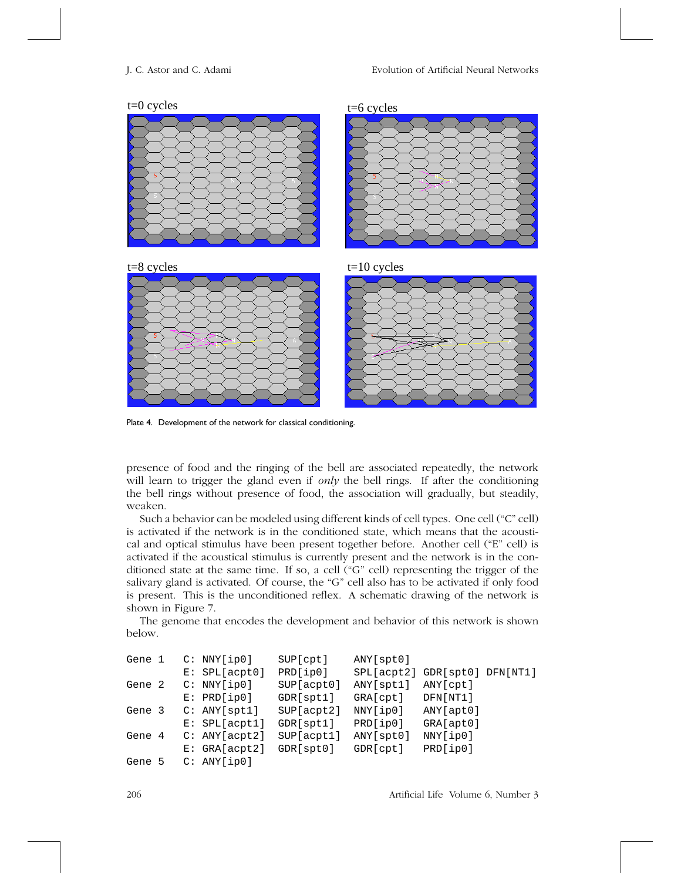#### J. C. Astor and C. Adami Evolution of Artificial Neural Networks



Plate 4. Development of the network for classical conditioning.

presence of food and the ringing of the bell are associated repeatedly, the network will learn to trigger the gland even if *only* the bell rings. If after the conditioning the bell rings without presence of food, the association will gradually, but steadily, weaken.

Such a behavior can be modeled using different kinds of cell types. One cell ("C" cell) is activated if the network is in the conditioned state, which means that the acoustical and optical stimulus have been present together before. Another cell ("E" cell) is activated if the acoustical stimulus is currently present and the network is in the conditioned state at the same time. If so, a cell ("G" cell) representing the trigger of the salivary gland is activated. Of course, the "G" cell also has to be activated if only food is present. This is the unconditioned reflex. A schematic drawing of the network is shown in Figure 7.

The genome that encodes the development and behavior of this network is shown below.

```
Gene 1 C: NNY[ip0] SUP[cpt] ANY[spt0]
        E: SPL[acpt0] PRD[ip0] SPL[acpt2] GDR[spt0] DFN[NT1]
Gene 2 C: NNY[ip0] SUP[acpt0] ANY[spt1] ANY[cpt]
        E: PRD[ip0] GDR[spt1] GRA[cpt] DFN[NT1]
Gene 3 C: ANY[spt1] SUP[acpt2] NNY[ip0] ANY[apt0]
        E: SPL[acpt1] GDR[spt1] PRD[ip0] GRA[apt0]
Gene 4 C: ANY[acpt2] SUP[acpt1] ANY[spt0] NNY[ip0]
        E: GRA[acpt2] GDR[spt0] GDR[cpt] PRD[ip0]
Gene 5 C: ANY[ip0]
```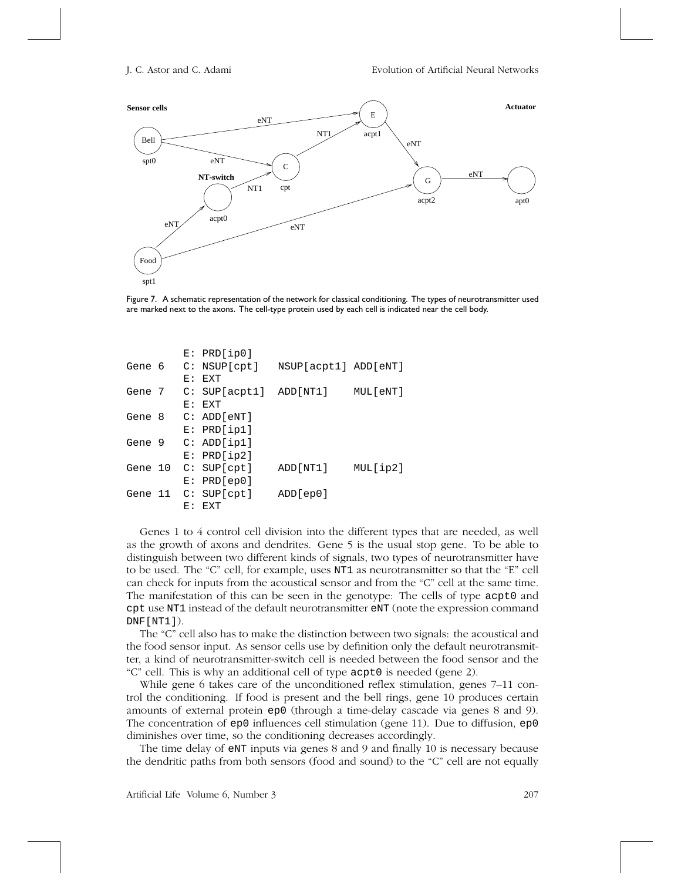

Figure 7. A schematic representation of the network for classical conditioning. The types of neurotransmitter used are marked next to the axons. The cell-type protein used by each cell is indicated near the cell body.

|         |      | E: PRD[ip0]             |                      |           |
|---------|------|-------------------------|----------------------|-----------|
| Gene 6  |      | C: NSUP[cpt]            | NSUP[acpt1] ADD[eNT] |           |
|         | E :  | EXT                     |                      |           |
| Gene 7  |      | $C:$ SUP[acpt1]         | ADD[NT1]             | MUL [eNT] |
|         | E :  | <b>F.XT</b>             |                      |           |
| Gene 8  |      | C: ADD[ENT]             |                      |           |
|         |      | E: PRD[ip1]             |                      |           |
| Gene 9  |      | C: ADD[ip1]             |                      |           |
|         |      | E: PRD[ip2]             |                      |           |
| Gene 10 |      | $C:$ SUP $[$ cpt $]$    | ADD [NT1]            | MUL[ip2]  |
|         |      | E: PRD[ep0]             |                      |           |
| Gene 11 |      | $C:$ SUP $[\text{cpt}]$ | ADD[ep0]             |           |
|         | F. : | EXT                     |                      |           |

Genes 1 to 4 control cell division into the different types that are needed, as well as the growth of axons and dendrites. Gene 5 is the usual stop gene. To be able to distinguish between two different kinds of signals, two types of neurotransmitter have to be used. The "C" cell, for example, uses NT1 as neurotransmitter so that the "E" cell can check for inputs from the acoustical sensor and from the "C" cell at the same time. The manifestation of this can be seen in the genotype: The cells of type acpt0 and cpt use NT1 instead of the default neurotransmitter eNT (note the expression command DNF[NT1]).

The "C" cell also has to make the distinction between two signals: the acoustical and the food sensor input. As sensor cells use by definition only the default neurotransmitter, a kind of neurotransmitter-switch cell is needed between the food sensor and the "C" cell. This is why an additional cell of type acpt0 is needed (gene 2).

While gene 6 takes care of the unconditioned reflex stimulation, genes 7–11 control the conditioning. If food is present and the bell rings, gene 10 produces certain amounts of external protein ep0 (through a time-delay cascade via genes 8 and 9). The concentration of ep0 influences cell stimulation (gene 11). Due to diffusion, ep0 diminishes over time, so the conditioning decreases accordingly.

The time delay of eNT inputs via genes 8 and 9 and finally 10 is necessary because the dendritic paths from both sensors (food and sound) to the "C" cell are not equally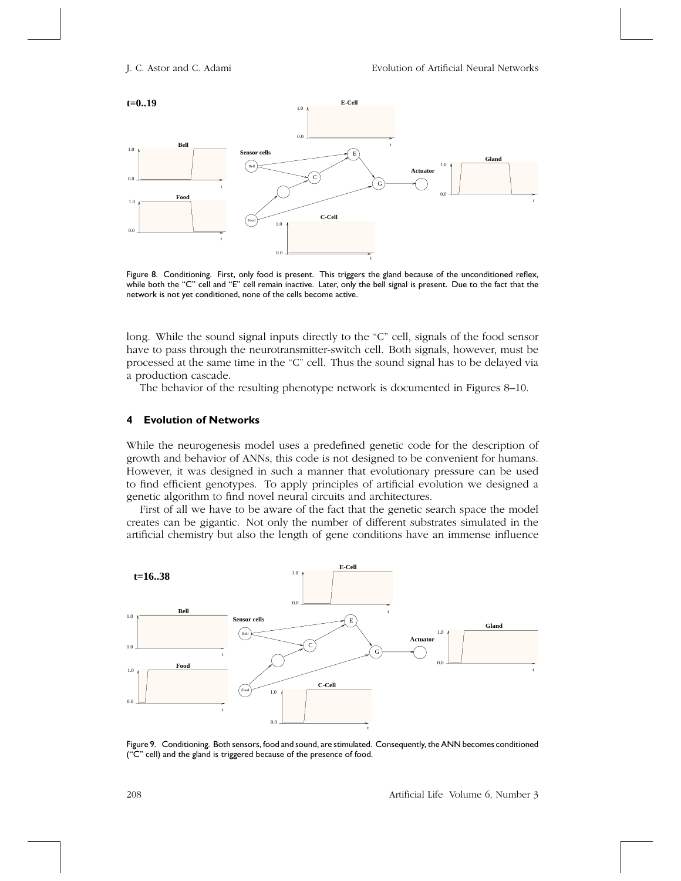

Figure 8. Conditioning. First, only food is present. This triggers the gland because of the unconditioned reflex, while both the "C" cell and "E" cell remain inactive. Later, only the bell signal is present. Due to the fact that the network is not yet conditioned, none of the cells become active.

long. While the sound signal inputs directly to the "C" cell, signals of the food sensor have to pass through the neurotransmitter-switch cell. Both signals, however, must be processed at the same time in the "C" cell. Thus the sound signal has to be delayed via a production cascade.

The behavior of the resulting phenotype network is documented in Figures 8–10.

### **4 Evolution of Networks**

While the neurogenesis model uses a predefined genetic code for the description of growth and behavior of ANNs, this code is not designed to be convenient for humans. However, it was designed in such a manner that evolutionary pressure can be used to find efficient genotypes. To apply principles of artificial evolution we designed a genetic algorithm to find novel neural circuits and architectures.

First of all we have to be aware of the fact that the genetic search space the model creates can be gigantic. Not only the number of different substrates simulated in the artificial chemistry but also the length of gene conditions have an immense influence



Figure 9. Conditioning. Both sensors, food and sound, are stimulated. Consequently, the ANN becomes conditioned ("C" cell) and the gland is triggered because of the presence of food.

208 Artificial Life Volume 6, Number 3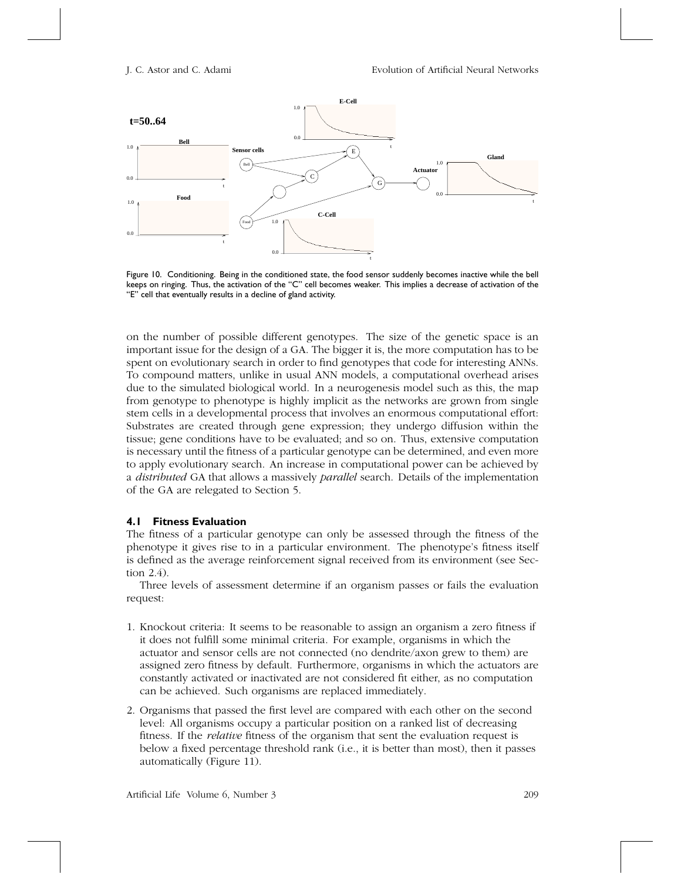

Figure 10. Conditioning. Being in the conditioned state, the food sensor suddenly becomes inactive while the bell keeps on ringing. Thus, the activation of the "C" cell becomes weaker. This implies a decrease of activation of the "E" cell that eventually results in a decline of gland activity.

on the number of possible different genotypes. The size of the genetic space is an important issue for the design of a GA. The bigger it is, the more computation has to be spent on evolutionary search in order to find genotypes that code for interesting ANNs. To compound matters, unlike in usual ANN models, a computational overhead arises due to the simulated biological world. In a neurogenesis model such as this, the map from genotype to phenotype is highly implicit as the networks are grown from single stem cells in a developmental process that involves an enormous computational effort: Substrates are created through gene expression; they undergo diffusion within the tissue; gene conditions have to be evaluated; and so on. Thus, extensive computation is necessary until the fitness of a particular genotype can be determined, and even more to apply evolutionary search. An increase in computational power can be achieved by a *distributed* GA that allows a massively *parallel* search. Details of the implementation of the GA are relegated to Section 5.

# **4.1 Fitness Evaluation**

The fitness of a particular genotype can only be assessed through the fitness of the phenotype it gives rise to in a particular environment. The phenotype's fitness itself is defined as the average reinforcement signal received from its environment (see Section 2.4).

Three levels of assessment determine if an organism passes or fails the evaluation request:

- 1. Knockout criteria: It seems to be reasonable to assign an organism a zero fitness if it does not fulfill some minimal criteria. For example, organisms in which the actuator and sensor cells are not connected (no dendrite/axon grew to them) are assigned zero fitness by default. Furthermore, organisms in which the actuators are constantly activated or inactivated are not considered fit either, as no computation can be achieved. Such organisms are replaced immediately.
- 2. Organisms that passed the first level are compared with each other on the second level: All organisms occupy a particular position on a ranked list of decreasing fitness. If the *relative* fitness of the organism that sent the evaluation request is below a fixed percentage threshold rank (i.e., it is better than most), then it passes automatically (Figure 11).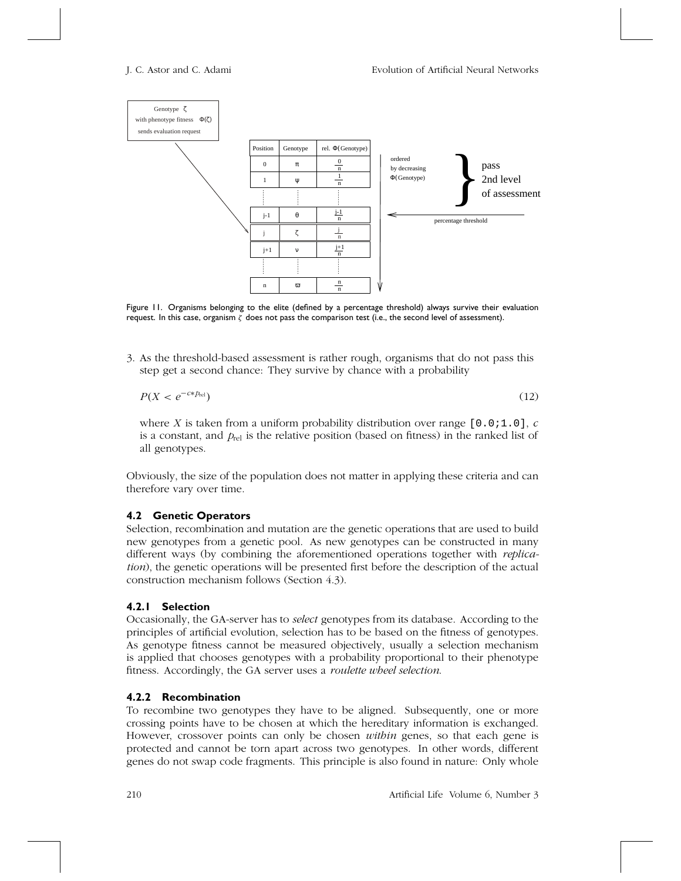J. C. Astor and C. Adami Evolution of Artificial Neural Networks



Figure 11. Organisms belonging to the elite (defined by a percentage threshold) always survive their evaluation request. In this case, organism ζ does not pass the comparison test (i.e., the second level of assessment).

3. As the threshold-based assessment is rather rough, organisms that do not pass this step get a second chance: They survive by chance with a probability

$$
P(X < e^{-c \cdot \phi_{\text{rel}}}) \tag{12}
$$

where *X* is taken from a uniform probability distribution over range [0.0;1.0], *c* is a constant, and  $p_{rel}$  is the relative position (based on fitness) in the ranked list of all genotypes.

Obviously, the size of the population does not matter in applying these criteria and can therefore vary over time.

### **4.2 Genetic Operators**

Selection, recombination and mutation are the genetic operations that are used to build new genotypes from a genetic pool. As new genotypes can be constructed in many different ways (by combining the aforementioned operations together with *replication*), the genetic operations will be presented first before the description of the actual construction mechanism follows (Section 4.3).

# **4.2.1 Selection**

Occasionally, the GA-server has to *select* genotypes from its database. According to the principles of artificial evolution, selection has to be based on the fitness of genotypes. As genotype fitness cannot be measured objectively, usually a selection mechanism is applied that chooses genotypes with a probability proportional to their phenotype fitness. Accordingly, the GA server uses a *roulette wheel selection*.

# **4.2.2 Recombination**

To recombine two genotypes they have to be aligned. Subsequently, one or more crossing points have to be chosen at which the hereditary information is exchanged. However, crossover points can only be chosen *within* genes, so that each gene is protected and cannot be torn apart across two genotypes. In other words, different genes do not swap code fragments. This principle is also found in nature: Only whole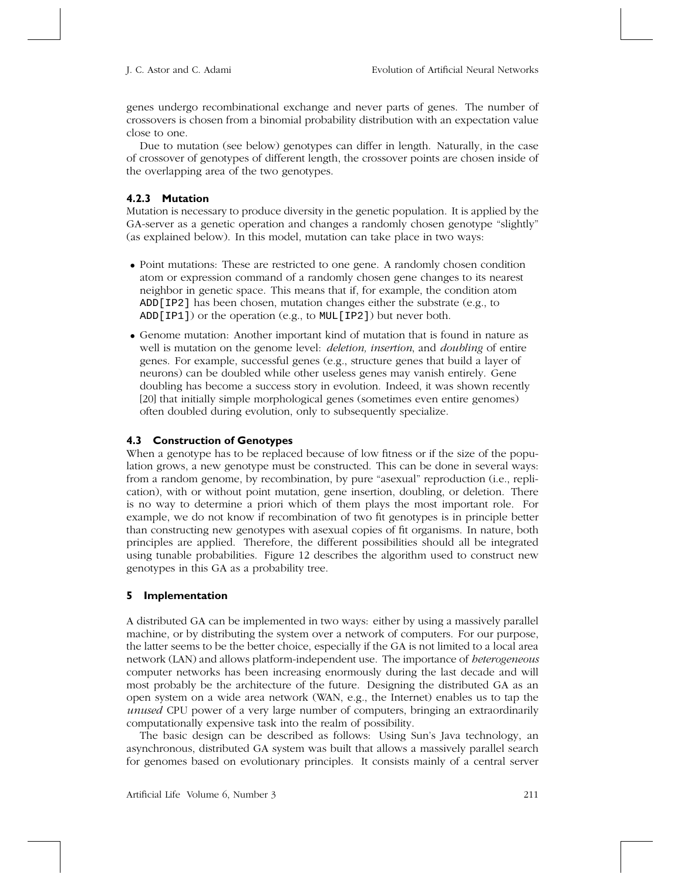genes undergo recombinational exchange and never parts of genes. The number of crossovers is chosen from a binomial probability distribution with an expectation value close to one.

Due to mutation (see below) genotypes can differ in length. Naturally, in the case of crossover of genotypes of different length, the crossover points are chosen inside of the overlapping area of the two genotypes.

# **4.2.3 Mutation**

Mutation is necessary to produce diversity in the genetic population. It is applied by the GA-server as a genetic operation and changes a randomly chosen genotype "slightly" (as explained below). In this model, mutation can take place in two ways:

- Point mutations: These are restricted to one gene. A randomly chosen condition atom or expression command of a randomly chosen gene changes to its nearest neighbor in genetic space. This means that if, for example, the condition atom ADD[IP2] has been chosen, mutation changes either the substrate (e.g., to ADD[IP1]) or the operation (e.g., to MUL[IP2]) but never both.
- Genome mutation: Another important kind of mutation that is found in nature as well is mutation on the genome level: *deletion, insertion*, and *doubling* of entire genes. For example, successful genes (e.g., structure genes that build a layer of neurons) can be doubled while other useless genes may vanish entirely. Gene doubling has become a success story in evolution. Indeed, it was shown recently [20] that initially simple morphological genes (sometimes even entire genomes) often doubled during evolution, only to subsequently specialize.

# **4.3 Construction of Genotypes**

When a genotype has to be replaced because of low fitness or if the size of the population grows, a new genotype must be constructed. This can be done in several ways: from a random genome, by recombination, by pure "asexual" reproduction (i.e., replication), with or without point mutation, gene insertion, doubling, or deletion. There is no way to determine a priori which of them plays the most important role. For example, we do not know if recombination of two fit genotypes is in principle better than constructing new genotypes with asexual copies of fit organisms. In nature, both principles are applied. Therefore, the different possibilities should all be integrated using tunable probabilities. Figure 12 describes the algorithm used to construct new genotypes in this GA as a probability tree.

#### **5 Implementation**

A distributed GA can be implemented in two ways: either by using a massively parallel machine, or by distributing the system over a network of computers. For our purpose, the latter seems to be the better choice, especially if the GA is not limited to a local area network (LAN) and allows platform-independent use. The importance of *heterogeneous* computer networks has been increasing enormously during the last decade and will most probably be the architecture of the future. Designing the distributed GA as an open system on a wide area network (WAN, e.g., the Internet) enables us to tap the *unused* CPU power of a very large number of computers, bringing an extraordinarily computationally expensive task into the realm of possibility.

The basic design can be described as follows: Using Sun's Java technology, an asynchronous, distributed GA system was built that allows a massively parallel search for genomes based on evolutionary principles. It consists mainly of a central server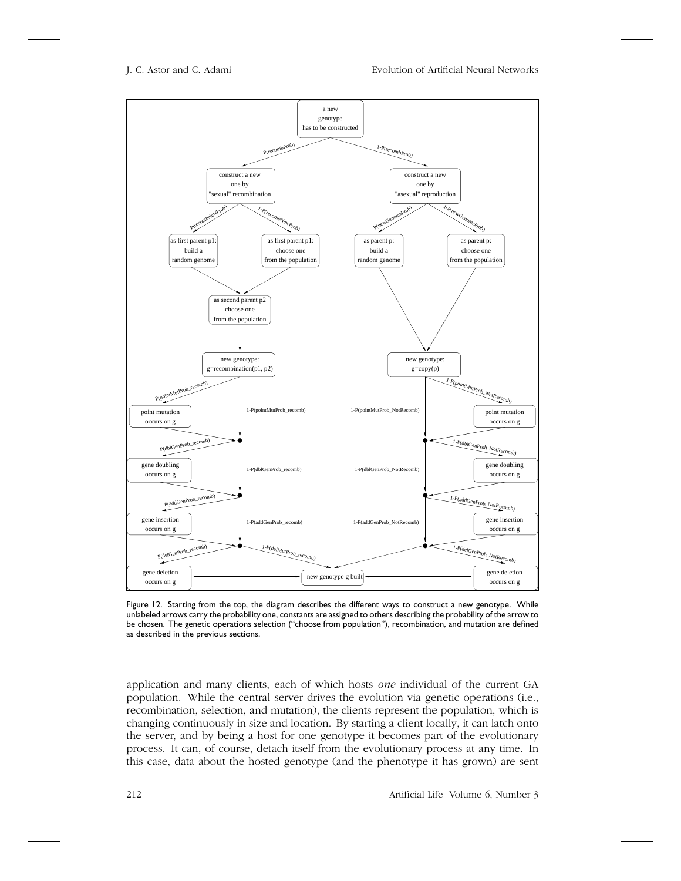

Figure 12. Starting from the top, the diagram describes the different ways to construct a new genotype. While unlabeled arrows carry the probability one, constants are assigned to others describing the probability of the arrow to be chosen. The genetic operations selection ("choose from population"), recombination, and mutation are defined as described in the previous sections.

application and many clients, each of which hosts *one* individual of the current GA population. While the central server drives the evolution via genetic operations (i.e., recombination, selection, and mutation), the clients represent the population, which is changing continuously in size and location. By starting a client locally, it can latch onto the server, and by being a host for one genotype it becomes part of the evolutionary process. It can, of course, detach itself from the evolutionary process at any time. In this case, data about the hosted genotype (and the phenotype it has grown) are sent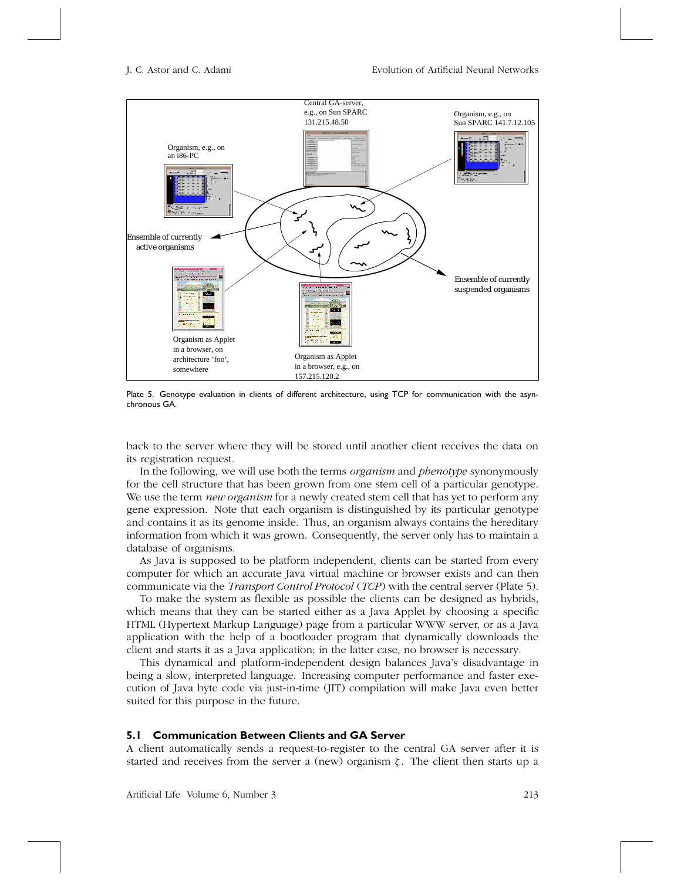

Plate 5. Genotype evaluation in clients of different architecture, using TCP for communication with the asynchronous GA.

back to the server where they will be stored until another client receives the data on its registration request.

In the following, we will use both the terms *organism* and *phenotype* synonymously for the cell structure that has been grown from one stem cell of a particular genotype. We use the term *new organism* for a newly created stem cell that has yet to perform any gene expression. Note that each organism is distinguished by its particular genotype and contains it as its genome inside. Thus, an organism always contains the hereditary information from which it was grown. Consequently, the server only has to maintain a database of organisms.

As Java is supposed to be platform independent, clients can be started from every computer for which an accurate Java virtual machine or browser exists and can then communicate via the *Transport Control Protocol* (*TCP*) with the central server (Plate 5).

To make the system as flexible as possible the clients can be designed as hybrids, which means that they can be started either as a Java Applet by choosing a specific HTML (Hypertext Markup Language) page from a particular WWW server, or as a Java application with the help of a bootloader program that dynamically downloads the client and starts it as a Java application; in the latter case, no browser is necessary.

This dynamical and platform-independent design balances Java's disadvantage in being a slow, interpreted language. Increasing computer performance and faster execution of Java byte code via just-in-time (JIT) compilation will make Java even better suited for this purpose in the future.

# **5.1 Communication Between Clients and GA Server**

A client automatically sends a request-to-register to the central GA server after it is started and receives from the server a (new) organism  $\zeta$ . The client then starts up a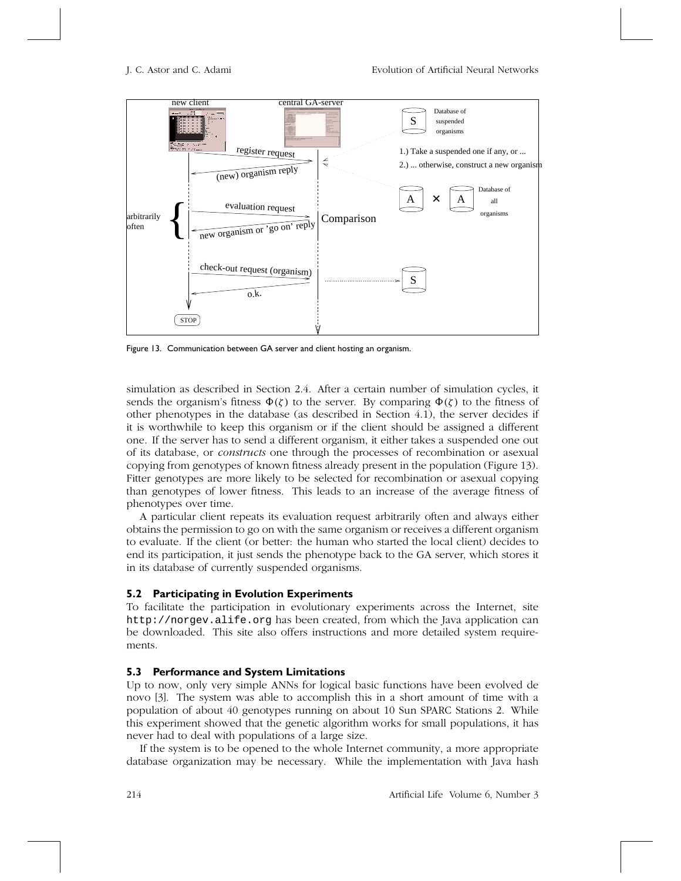

Figure 13. Communication between GA server and client hosting an organism.

simulation as described in Section 2.4. After a certain number of simulation cycles, it sends the organism's fitness  $\Phi(\zeta)$  to the server. By comparing  $\Phi(\zeta)$  to the fitness of other phenotypes in the database (as described in Section 4.1), the server decides if it is worthwhile to keep this organism or if the client should be assigned a different one. If the server has to send a different organism, it either takes a suspended one out of its database, or *constructs* one through the processes of recombination or asexual copying from genotypes of known fitness already present in the population (Figure 13). Fitter genotypes are more likely to be selected for recombination or asexual copying than genotypes of lower fitness. This leads to an increase of the average fitness of phenotypes over time.

A particular client repeats its evaluation request arbitrarily often and always either obtains the permission to go on with the same organism or receives a different organism to evaluate. If the client (or better: the human who started the local client) decides to end its participation, it just sends the phenotype back to the GA server, which stores it in its database of currently suspended organisms.

### **5.2 Participating in Evolution Experiments**

To facilitate the participation in evolutionary experiments across the Internet, site http://norgev.alife.org has been created, from which the Java application can be downloaded. This site also offers instructions and more detailed system requirements.

# **5.3 Performance and System Limitations**

Up to now, only very simple ANNs for logical basic functions have been evolved de novo [3]. The system was able to accomplish this in a short amount of time with a population of about 40 genotypes running on about 10 Sun SPARC Stations 2. While this experiment showed that the genetic algorithm works for small populations, it has never had to deal with populations of a large size.

If the system is to be opened to the whole Internet community, a more appropriate database organization may be necessary. While the implementation with Java hash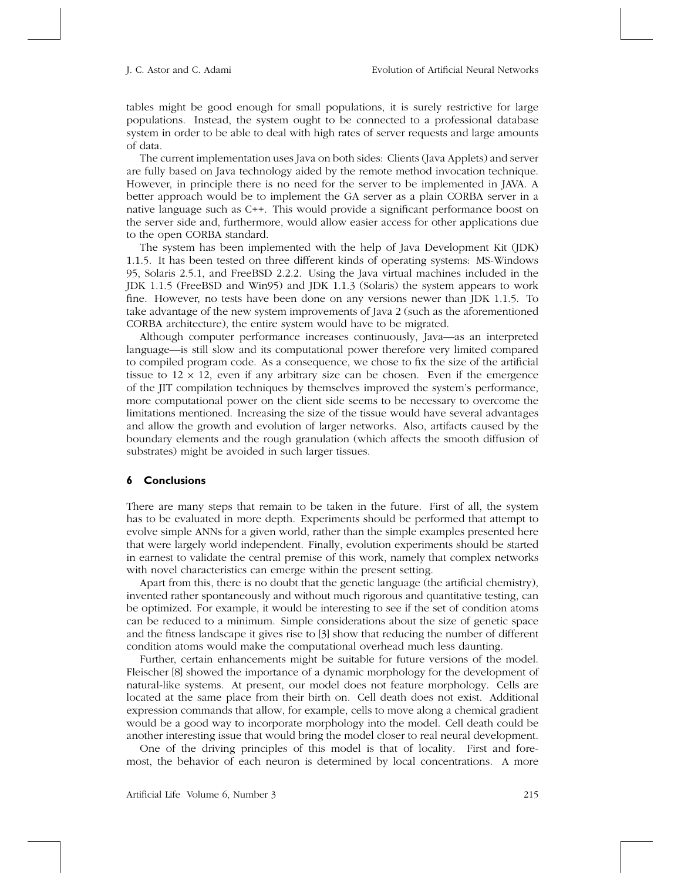tables might be good enough for small populations, it is surely restrictive for large populations. Instead, the system ought to be connected to a professional database system in order to be able to deal with high rates of server requests and large amounts of data.

The current implementation uses Java on both sides: Clients (Java Applets) and server are fully based on Java technology aided by the remote method invocation technique. However, in principle there is no need for the server to be implemented in JAVA. A better approach would be to implement the GA server as a plain CORBA server in a native language such as C++. This would provide a significant performance boost on the server side and, furthermore, would allow easier access for other applications due to the open CORBA standard.

The system has been implemented with the help of Java Development Kit (JDK) 1.1.5. It has been tested on three different kinds of operating systems: MS-Windows 95, Solaris 2.5.1, and FreeBSD 2.2.2. Using the Java virtual machines included in the JDK 1.1.5 (FreeBSD and Win95) and JDK 1.1.3 (Solaris) the system appears to work fine. However, no tests have been done on any versions newer than JDK 1.1.5. To take advantage of the new system improvements of Java 2 (such as the aforementioned CORBA architecture), the entire system would have to be migrated.

Although computer performance increases continuously, Java—as an interpreted language—is still slow and its computational power therefore very limited compared to compiled program code. As a consequence, we chose to fix the size of the artificial tissue to  $12 \times 12$ , even if any arbitrary size can be chosen. Even if the emergence of the JIT compilation techniques by themselves improved the system's performance, more computational power on the client side seems to be necessary to overcome the limitations mentioned. Increasing the size of the tissue would have several advantages and allow the growth and evolution of larger networks. Also, artifacts caused by the boundary elements and the rough granulation (which affects the smooth diffusion of substrates) might be avoided in such larger tissues.

#### **6 Conclusions**

There are many steps that remain to be taken in the future. First of all, the system has to be evaluated in more depth. Experiments should be performed that attempt to evolve simple ANNs for a given world, rather than the simple examples presented here that were largely world independent. Finally, evolution experiments should be started in earnest to validate the central premise of this work, namely that complex networks with novel characteristics can emerge within the present setting.

Apart from this, there is no doubt that the genetic language (the artificial chemistry), invented rather spontaneously and without much rigorous and quantitative testing, can be optimized. For example, it would be interesting to see if the set of condition atoms can be reduced to a minimum. Simple considerations about the size of genetic space and the fitness landscape it gives rise to [3] show that reducing the number of different condition atoms would make the computational overhead much less daunting.

Further, certain enhancements might be suitable for future versions of the model. Fleischer [8] showed the importance of a dynamic morphology for the development of natural-like systems. At present, our model does not feature morphology. Cells are located at the same place from their birth on. Cell death does not exist. Additional expression commands that allow, for example, cells to move along a chemical gradient would be a good way to incorporate morphology into the model. Cell death could be another interesting issue that would bring the model closer to real neural development.

One of the driving principles of this model is that of locality. First and foremost, the behavior of each neuron is determined by local concentrations. A more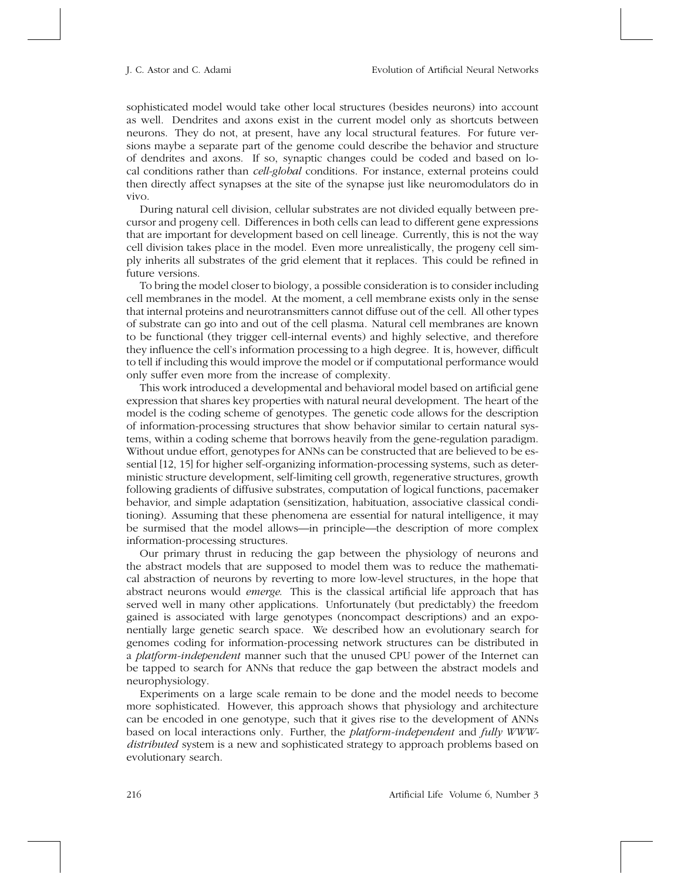sophisticated model would take other local structures (besides neurons) into account as well. Dendrites and axons exist in the current model only as shortcuts between neurons. They do not, at present, have any local structural features. For future versions maybe a separate part of the genome could describe the behavior and structure of dendrites and axons. If so, synaptic changes could be coded and based on local conditions rather than *cell-global* conditions. For instance, external proteins could then directly affect synapses at the site of the synapse just like neuromodulators do in vivo.

During natural cell division, cellular substrates are not divided equally between precursor and progeny cell. Differences in both cells can lead to different gene expressions that are important for development based on cell lineage. Currently, this is not the way cell division takes place in the model. Even more unrealistically, the progeny cell simply inherits all substrates of the grid element that it replaces. This could be refined in future versions.

To bring the model closer to biology, a possible consideration is to consider including cell membranes in the model. At the moment, a cell membrane exists only in the sense that internal proteins and neurotransmitters cannot diffuse out of the cell. All other types of substrate can go into and out of the cell plasma. Natural cell membranes are known to be functional (they trigger cell-internal events) and highly selective, and therefore they influence the cell's information processing to a high degree. It is, however, difficult to tell if including this would improve the model or if computational performance would only suffer even more from the increase of complexity.

This work introduced a developmental and behavioral model based on artificial gene expression that shares key properties with natural neural development. The heart of the model is the coding scheme of genotypes. The genetic code allows for the description of information-processing structures that show behavior similar to certain natural systems, within a coding scheme that borrows heavily from the gene-regulation paradigm. Without undue effort, genotypes for ANNs can be constructed that are believed to be essential [12, 15] for higher self-organizing information-processing systems, such as deterministic structure development, self-limiting cell growth, regenerative structures, growth following gradients of diffusive substrates, computation of logical functions, pacemaker behavior, and simple adaptation (sensitization, habituation, associative classical conditioning). Assuming that these phenomena are essential for natural intelligence, it may be surmised that the model allows—in principle—the description of more complex information-processing structures.

Our primary thrust in reducing the gap between the physiology of neurons and the abstract models that are supposed to model them was to reduce the mathematical abstraction of neurons by reverting to more low-level structures, in the hope that abstract neurons would *emerge*. This is the classical artificial life approach that has served well in many other applications. Unfortunately (but predictably) the freedom gained is associated with large genotypes (noncompact descriptions) and an exponentially large genetic search space. We described how an evolutionary search for genomes coding for information-processing network structures can be distributed in a *platform-independent* manner such that the unused CPU power of the Internet can be tapped to search for ANNs that reduce the gap between the abstract models and neurophysiology.

Experiments on a large scale remain to be done and the model needs to become more sophisticated. However, this approach shows that physiology and architecture can be encoded in one genotype, such that it gives rise to the development of ANNs based on local interactions only. Further, the *platform-independent* and *fully WWWdistributed* system is a new and sophisticated strategy to approach problems based on evolutionary search.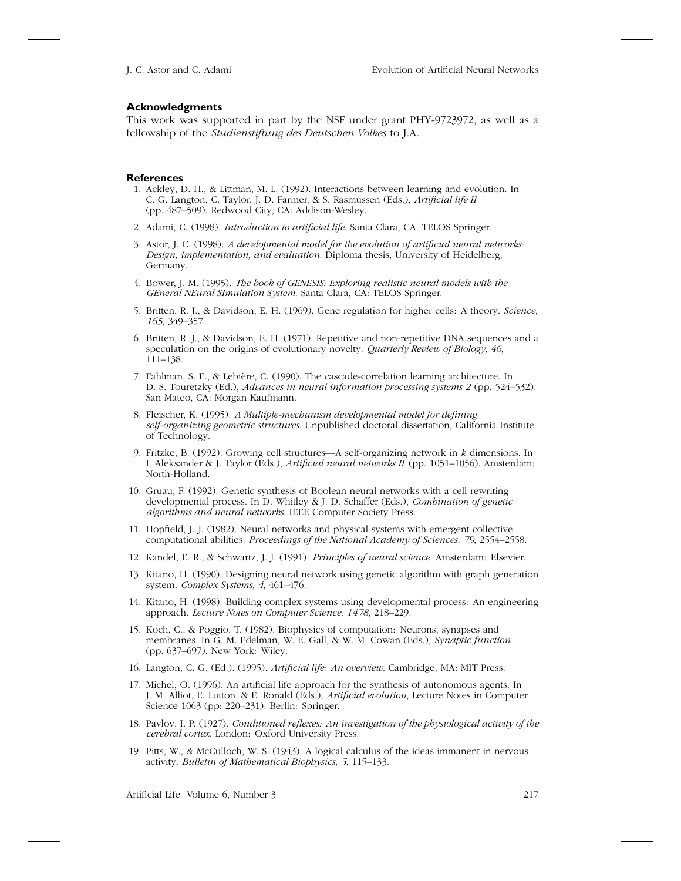#### **Acknowledgments**

This work was supported in part by the NSF under grant PHY-9723972, as well as a fellowship of the *Studienstiftung des Deutschen Volkes* to J.A.

#### **References**

- 1. Ackley, D. H., & Littman, M. L. (1992). Interactions between learning and evolution. In C. G. Langton, C. Taylor, J. D. Farmer, & S. Rasmussen (Eds.), *Artificial life II* (pp. 487–509). Redwood City, CA: Addison-Wesley.
- 2. Adami, C. (1998). *Introduction to artificial life*. Santa Clara, CA: TELOS Springer.
- 3. Astor, J. C. (1998). *A developmental model for the evolution of artificial neural networks: Design, implementation, and evaluation*. Diploma thesis, University of Heidelberg, Germany.
- 4. Bower, J. M. (1995). *The book of GENESIS: Exploring realistic neural models with the GEneral NEural SImulation System*. Santa Clara, CA: TELOS Springer.
- 5. Britten, R. J., & Davidson, E. H. (1969). Gene regulation for higher cells: A theory. *Science, 165*, 349–357.
- 6. Britten, R. J., & Davidson, E. H. (1971). Repetitive and non-repetitive DNA sequences and a speculation on the origins of evolutionary novelty. *Quarterly Review of Biology, 46*, 111–138.
- 7. Fahlman, S. E., & Lebiere, C. (1990). The cascade-correlation learning architecture. In ` D. S. Touretzky (Ed.), *Advances in neural information processing systems 2* (pp. 524–532). San Mateo, CA: Morgan Kaufmann.
- 8. Fleischer, K. (1995). *A Multiple-mechanism developmental model for defining self-organizing geometric structures*. Unpublished doctoral dissertation, California Institute of Technology.
- 9. Fritzke, B. (1992). Growing cell structures—A self-organizing network in *k* dimensions. In I. Aleksander & J. Taylor (Eds.), *Artificial neural networks II* (pp. 1051–1056). Amsterdam: North-Holland.
- 10. Gruau, F. (1992). Genetic synthesis of Boolean neural networks with a cell rewriting developmental process. In D. Whitley & J. D. Schaffer (Eds.), *Combination of genetic algorithms and neural networks*. IEEE Computer Society Press.
- 11. Hopfield, J. J. (1982). Neural networks and physical systems with emergent collective computational abilities. *Proceedings of the National Academy of Sciences, 79*, 2554–2558.
- 12. Kandel, E. R., & Schwartz, J. J. (1991). *Principles of neural science*. Amsterdam: Elsevier.
- 13. Kitano, H. (1990). Designing neural network using genetic algorithm with graph generation system. *Complex Systems, 4*, 461–476.
- 14. Kitano, H. (1998). Building complex systems using developmental process: An engineering approach. *Lecture Notes on Computer Science, 1478*, 218–229.
- 15. Koch, C., & Poggio, T. (1982). Biophysics of computation: Neurons, synapses and membranes. In G. M. Edelman, W. E. Gall, & W. M. Cowan (Eds.), *Synaptic function* (pp. 637–697). New York: Wiley.
- 16. Langton, C. G. (Ed.). (1995). *Artificial life: An overview*. Cambridge, MA: MIT Press.
- 17. Michel, O. (1996). An artificial life approach for the synthesis of autonomous agents. In J. M. Alliot, E. Lutton, & E. Ronald (Eds.), *Artificial evolution*, Lecture Notes in Computer Science 1063 (pp: 220–231). Berlin: Springer.
- 18. Pavlov, I. P. (1927). *Conditioned reflexes: An investigation of the physiological activity of the cerebral cortex*. London: Oxford University Press.
- 19. Pitts, W., & McCulloch, W. S. (1943). A logical calculus of the ideas immanent in nervous activity. *Bulletin of Mathematical Biophysics, 5*, 115–133.

Artificial Life Volume 6, Number 3 217